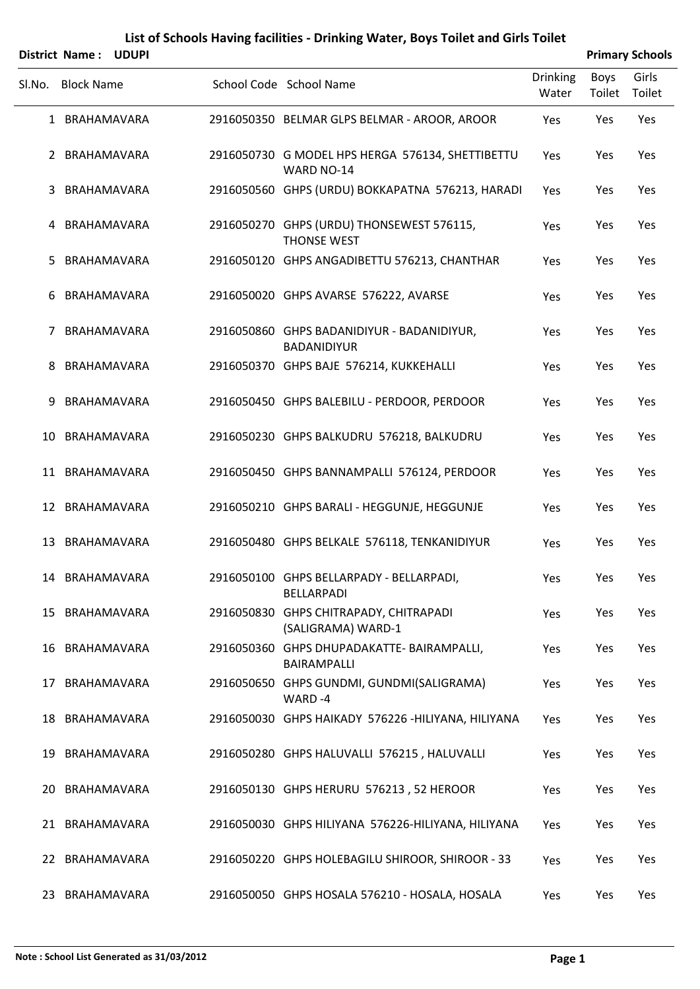|        | <b>District Name:</b> | <b>UDUPI</b> |                                                                  |                   |                | <b>Primary Schools</b> |
|--------|-----------------------|--------------|------------------------------------------------------------------|-------------------|----------------|------------------------|
| Sl.No. | <b>Block Name</b>     |              | School Code School Name                                          | Drinking<br>Water | Boys<br>Toilet | Girls<br>Toilet        |
|        | 1 BRAHAMAVARA         |              | 2916050350 BELMAR GLPS BELMAR - AROOR, AROOR                     | Yes               | Yes            | Yes                    |
|        | 2 BRAHAMAVARA         |              | 2916050730 G MODEL HPS HERGA 576134, SHETTIBETTU<br>WARD NO-14   | Yes               | Yes            | Yes                    |
|        | 3 BRAHAMAVARA         |              | 2916050560 GHPS (URDU) BOKKAPATNA 576213, HARADI                 | Yes               | Yes            | Yes                    |
|        | 4 BRAHAMAVARA         |              | 2916050270 GHPS (URDU) THONSEWEST 576115,<br><b>THONSE WEST</b>  | Yes               | Yes            | Yes                    |
| 5.     | BRAHAMAVARA           |              | 2916050120 GHPS ANGADIBETTU 576213, CHANTHAR                     | Yes               | Yes            | Yes                    |
| 6      | BRAHAMAVARA           |              | 2916050020 GHPS AVARSE 576222, AVARSE                            | Yes               | Yes            | Yes                    |
| 7      | BRAHAMAVARA           |              | 2916050860 GHPS BADANIDIYUR - BADANIDIYUR,<br><b>BADANIDIYUR</b> | Yes               | Yes            | Yes                    |
| 8      | BRAHAMAVARA           |              | 2916050370 GHPS BAJE 576214, KUKKEHALLI                          | Yes               | Yes            | Yes                    |
| 9      | BRAHAMAVARA           |              | 2916050450 GHPS BALEBILU - PERDOOR, PERDOOR                      | Yes               | Yes            | Yes                    |
| 10     | BRAHAMAVARA           |              | 2916050230 GHPS BALKUDRU 576218, BALKUDRU                        | Yes               | Yes            | Yes                    |
|        | 11 BRAHAMAVARA        |              | 2916050450 GHPS BANNAMPALLI 576124, PERDOOR                      | Yes               | Yes            | Yes                    |
|        | 12 BRAHAMAVARA        |              | 2916050210 GHPS BARALI - HEGGUNJE, HEGGUNJE                      | Yes               | Yes            | Yes                    |
|        | 13 BRAHAMAVARA        |              | 2916050480 GHPS BELKALE 576118, TENKANIDIYUR                     | Yes               | Yes            | Yes                    |
|        | 14 BRAHAMAVARA        |              | 2916050100 GHPS BELLARPADY - BELLARPADI,<br><b>BELLARPADI</b>    | Yes               | Yes            | Yes                    |
|        | 15 BRAHAMAVARA        |              | 2916050830 GHPS CHITRAPADY, CHITRAPADI<br>(SALIGRAMA) WARD-1     | Yes               | Yes            | Yes                    |
|        | 16 BRAHAMAVARA        |              | 2916050360 GHPS DHUPADAKATTE- BAIRAMPALLI,<br>BAIRAMPALLI        | Yes               | Yes            | Yes                    |
|        | 17 BRAHAMAVARA        |              | 2916050650 GHPS GUNDMI, GUNDMI(SALIGRAMA)<br>WARD-4              | Yes               | Yes            | Yes                    |
|        | 18 BRAHAMAVARA        |              | 2916050030 GHPS HAIKADY 576226 - HILIYANA, HILIYANA              | Yes               | Yes            | Yes                    |
|        | 19 BRAHAMAVARA        |              | 2916050280 GHPS HALUVALLI 576215, HALUVALLI                      | Yes               | Yes            | Yes                    |
|        | 20 BRAHAMAVARA        |              | 2916050130 GHPS HERURU 576213, 52 HEROOR                         | Yes               | Yes            | Yes                    |
|        | 21 BRAHAMAVARA        |              | 2916050030 GHPS HILIYANA 576226-HILIYANA, HILIYANA               | Yes               | Yes            | Yes                    |
|        | 22 BRAHAMAVARA        |              | 2916050220 GHPS HOLEBAGILU SHIROOR, SHIROOR - 33                 | Yes               | Yes            | Yes                    |
|        | 23 BRAHAMAVARA        |              | 2916050050 GHPS HOSALA 576210 - HOSALA, HOSALA                   | Yes               | Yes            | Yes                    |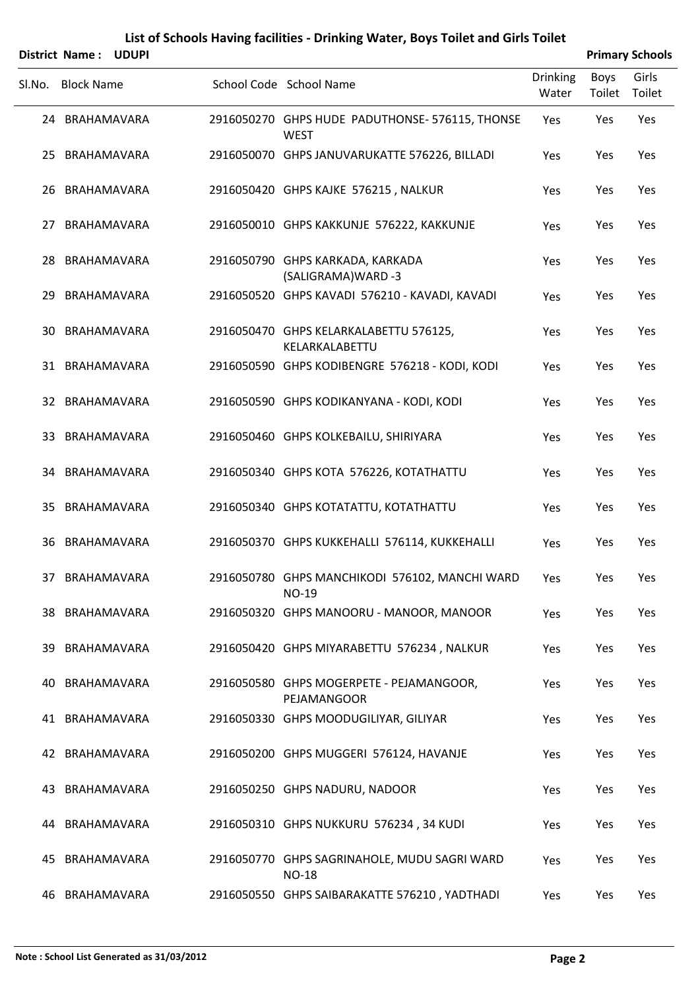| <b>District Name:</b> | <b>UDUP</b> |
|-----------------------|-------------|

| <b>Primary Schools</b> |  |
|------------------------|--|
|                        |  |

|        | District Name: UDUPI |  |                                                                |                          |                | <b>Primary Schools</b> |
|--------|----------------------|--|----------------------------------------------------------------|--------------------------|----------------|------------------------|
| Sl.No. | <b>Block Name</b>    |  | School Code School Name                                        | <b>Drinking</b><br>Water | Boys<br>Toilet | Girls<br>Toilet        |
|        | 24 BRAHAMAVARA       |  | 2916050270 GHPS HUDE PADUTHONSE- 576115, THONSE<br><b>WEST</b> | Yes                      | Yes            | Yes                    |
|        | 25 BRAHAMAVARA       |  | 2916050070 GHPS JANUVARUKATTE 576226, BILLADI                  | Yes                      | Yes            | Yes                    |
|        | 26 BRAHAMAVARA       |  | 2916050420 GHPS KAJKE 576215, NALKUR                           | Yes                      | Yes            | Yes                    |
|        | 27 BRAHAMAVARA       |  | 2916050010 GHPS KAKKUNJE 576222, KAKKUNJE                      | Yes                      | Yes            | Yes                    |
|        | 28 BRAHAMAVARA       |  | 2916050790 GHPS KARKADA, KARKADA<br>(SALIGRAMA) WARD -3        | Yes                      | Yes            | Yes                    |
|        | 29 BRAHAMAVARA       |  | 2916050520 GHPS KAVADI 576210 - KAVADI, KAVADI                 | Yes                      | Yes            | Yes                    |
|        | 30 BRAHAMAVARA       |  | 2916050470 GHPS KELARKALABETTU 576125,<br>KELARKALABETTU       | Yes                      | Yes            | Yes                    |
|        | 31 BRAHAMAVARA       |  | 2916050590 GHPS KODIBENGRE 576218 - KODI, KODI                 | Yes                      | Yes            | Yes                    |
|        | 32 BRAHAMAVARA       |  | 2916050590 GHPS KODIKANYANA - KODI, KODI                       | Yes                      | Yes            | Yes                    |
|        | 33 BRAHAMAVARA       |  | 2916050460 GHPS KOLKEBAILU, SHIRIYARA                          | Yes                      | Yes            | Yes                    |
|        | 34 BRAHAMAVARA       |  | 2916050340 GHPS KOTA 576226, KOTATHATTU                        | Yes                      | Yes            | Yes                    |
|        | 35 BRAHAMAVARA       |  | 2916050340 GHPS KOTATATTU, KOTATHATTU                          | Yes                      | Yes            | Yes                    |
|        | 36 BRAHAMAVARA       |  | 2916050370 GHPS KUKKEHALLI 576114, KUKKEHALLI                  | Yes                      | Yes            | Yes                    |
|        | 37 BRAHAMAVARA       |  | 2916050780 GHPS MANCHIKODI 576102, MANCHI WARD<br>NO-19        | Yes                      | Yes            | Yes                    |
|        | 38 BRAHAMAVARA       |  | 2916050320 GHPS MANOORU - MANOOR, MANOOR                       | Yes                      | Yes            | Yes                    |
|        | 39 BRAHAMAVARA       |  | 2916050420 GHPS MIYARABETTU 576234, NALKUR                     | Yes                      | Yes            | Yes                    |
|        | 40 BRAHAMAVARA       |  | 2916050580 GHPS MOGERPETE - PEJAMANGOOR,<br>PEJAMANGOOR        | Yes                      | Yes            | Yes                    |
|        | 41 BRAHAMAVARA       |  | 2916050330 GHPS MOODUGILIYAR, GILIYAR                          | Yes                      | Yes            | Yes                    |
|        | 42 BRAHAMAVARA       |  | 2916050200 GHPS MUGGERI 576124, HAVANJE                        | Yes                      | Yes            | Yes                    |
|        | 43 BRAHAMAVARA       |  | 2916050250 GHPS NADURU, NADOOR                                 | Yes                      | Yes            | Yes                    |
|        | 44 BRAHAMAVARA       |  | 2916050310 GHPS NUKKURU 576234, 34 KUDI                        | Yes                      | Yes            | Yes                    |
|        | 45 BRAHAMAVARA       |  | 2916050770 GHPS SAGRINAHOLE, MUDU SAGRI WARD<br><b>NO-18</b>   | Yes                      | Yes            | Yes                    |
|        | 46 BRAHAMAVARA       |  | 2916050550 GHPS SAIBARAKATTE 576210, YADTHADI                  | Yes                      | Yes            | Yes                    |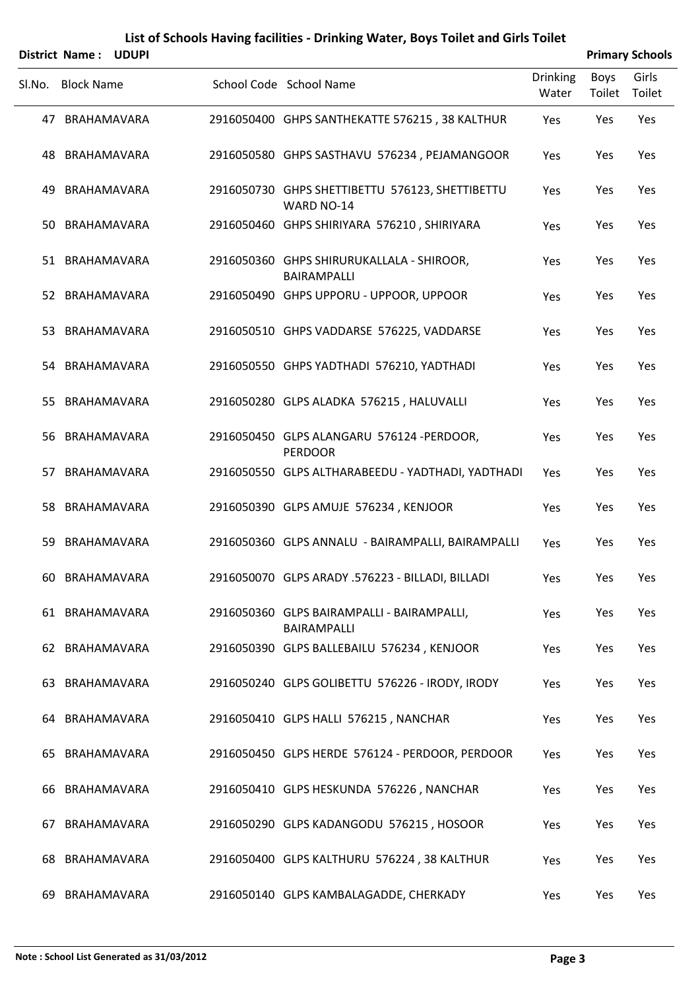|        | District Name: UDUPI |  |                                                               |                          |                | <b>Primary Schools</b> |
|--------|----------------------|--|---------------------------------------------------------------|--------------------------|----------------|------------------------|
| SI.No. | <b>Block Name</b>    |  | School Code School Name                                       | <b>Drinking</b><br>Water | Boys<br>Toilet | Girls<br>Toilet        |
|        | 47 BRAHAMAVARA       |  | 2916050400 GHPS SANTHEKATTE 576215, 38 KALTHUR                | Yes                      | Yes            | Yes                    |
|        | 48 BRAHAMAVARA       |  | 2916050580 GHPS SASTHAVU 576234, PEJAMANGOOR                  | Yes                      | Yes            | Yes                    |
|        | 49 BRAHAMAVARA       |  | 2916050730 GHPS SHETTIBETTU 576123, SHETTIBETTU<br>WARD NO-14 | Yes                      | Yes            | Yes                    |
|        | 50 BRAHAMAVARA       |  | 2916050460 GHPS SHIRIYARA 576210, SHIRIYARA                   | Yes                      | Yes            | Yes                    |
|        | 51 BRAHAMAVARA       |  | 2916050360 GHPS SHIRURUKALLALA - SHIROOR,<br>BAIRAMPALLI      | Yes                      | Yes            | Yes                    |
|        | 52 BRAHAMAVARA       |  | 2916050490 GHPS UPPORU - UPPOOR, UPPOOR                       | Yes                      | Yes            | Yes                    |
|        | 53 BRAHAMAVARA       |  | 2916050510 GHPS VADDARSE 576225, VADDARSE                     | Yes                      | Yes            | Yes                    |
|        | 54 BRAHAMAVARA       |  | 2916050550 GHPS YADTHADI 576210, YADTHADI                     | Yes                      | Yes            | Yes                    |
|        | 55 BRAHAMAVARA       |  | 2916050280 GLPS ALADKA 576215, HALUVALLI                      | Yes                      | Yes            | Yes                    |
|        | 56 BRAHAMAVARA       |  | 2916050450 GLPS ALANGARU 576124 -PERDOOR,<br><b>PERDOOR</b>   | Yes                      | Yes            | Yes                    |
|        | 57 BRAHAMAVARA       |  | 2916050550 GLPS ALTHARABEEDU - YADTHADI, YADTHADI             | Yes                      | Yes            | Yes                    |
|        | 58 BRAHAMAVARA       |  | 2916050390 GLPS AMUJE 576234, KENJOOR                         | Yes                      | Yes            | Yes                    |
| 59.    | BRAHAMAVARA          |  | 2916050360 GLPS ANNALU - BAIRAMPALLI, BAIRAMPALLI             | Yes                      | Yes            | Yes                    |
|        | 60 BRAHAMAVARA       |  | 2916050070 GLPS ARADY .576223 - BILLADI, BILLADI              | Yes                      | Yes            | Yes                    |
|        | 61 BRAHAMAVARA       |  | 2916050360 GLPS BAIRAMPALLI - BAIRAMPALLI,<br>BAIRAMPALLI     | Yes                      | Yes            | Yes                    |
|        | 62 BRAHAMAVARA       |  | 2916050390 GLPS BALLEBAILU 576234, KENJOOR                    | Yes                      | Yes            | Yes                    |
|        | 63 BRAHAMAVARA       |  | 2916050240 GLPS GOLIBETTU 576226 - IRODY, IRODY               | Yes                      | Yes            | Yes                    |
|        | 64 BRAHAMAVARA       |  | 2916050410 GLPS HALLI 576215, NANCHAR                         | Yes                      | Yes            | Yes                    |
|        | 65 BRAHAMAVARA       |  | 2916050450 GLPS HERDE 576124 - PERDOOR, PERDOOR               | Yes                      | Yes            | Yes                    |
|        | 66 BRAHAMAVARA       |  | 2916050410 GLPS HESKUNDA 576226, NANCHAR                      | Yes                      | Yes            | Yes                    |
|        | 67 BRAHAMAVARA       |  | 2916050290 GLPS KADANGODU 576215, HOSOOR                      | Yes                      | Yes            | Yes                    |
|        | 68 BRAHAMAVARA       |  | 2916050400 GLPS KALTHURU 576224, 38 KALTHUR                   | Yes                      | Yes            | Yes                    |
|        | 69 BRAHAMAVARA       |  | 2916050140 GLPS KAMBALAGADDE, CHERKADY                        | Yes                      | Yes            | Yes                    |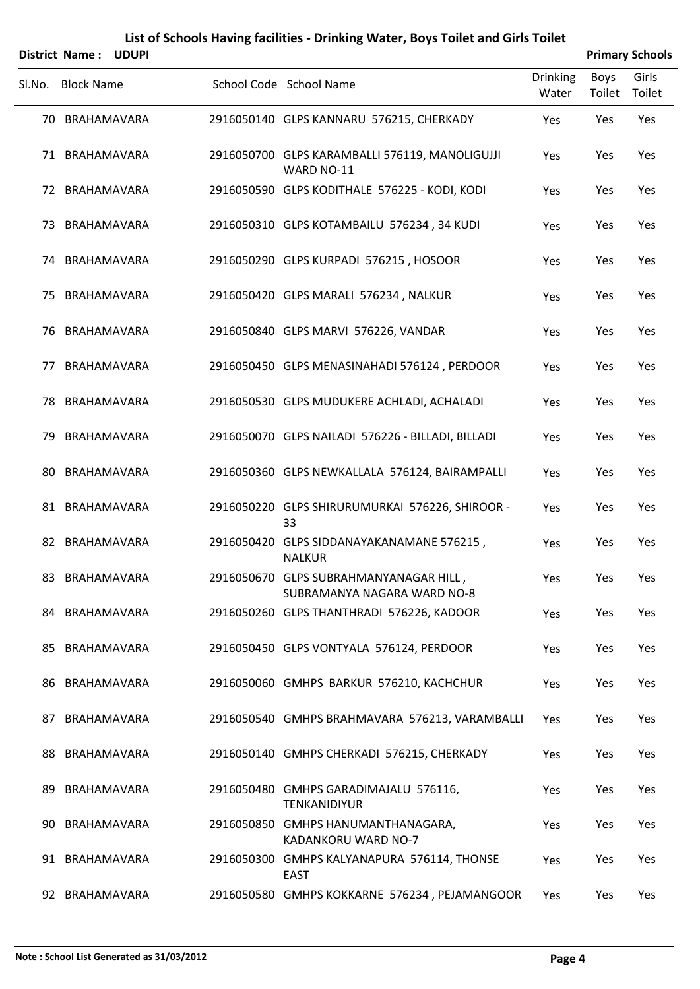|        | <b>District Name:</b><br>UDUPI |                                                                       |                          |                | <b>Primary Schools</b> |
|--------|--------------------------------|-----------------------------------------------------------------------|--------------------------|----------------|------------------------|
| Sl.No. | <b>Block Name</b>              | School Code School Name                                               | <b>Drinking</b><br>Water | Boys<br>Toilet | Girls<br>Toilet        |
|        | 70 BRAHAMAVARA                 | 2916050140 GLPS KANNARU 576215, CHERKADY                              | Yes                      | Yes            | Yes                    |
|        | 71 BRAHAMAVARA                 | 2916050700 GLPS KARAMBALLI 576119, MANOLIGUJJI<br>WARD NO-11          | Yes                      | Yes            | Yes                    |
|        | 72 BRAHAMAVARA                 | 2916050590 GLPS KODITHALE 576225 - KODI, KODI                         | Yes                      | Yes            | Yes                    |
|        | 73 BRAHAMAVARA                 | 2916050310 GLPS KOTAMBAILU 576234, 34 KUDI                            | Yes                      | Yes            | Yes                    |
|        | 74 BRAHAMAVARA                 | 2916050290 GLPS KURPADI 576215, HOSOOR                                | Yes                      | Yes            | Yes                    |
|        | 75 BRAHAMAVARA                 | 2916050420 GLPS MARALI 576234, NALKUR                                 | Yes                      | Yes            | Yes                    |
|        | 76 BRAHAMAVARA                 | 2916050840 GLPS MARVI 576226, VANDAR                                  | Yes                      | Yes            | Yes                    |
| 77     | BRAHAMAVARA                    | 2916050450 GLPS MENASINAHADI 576124, PERDOOR                          | Yes                      | Yes            | Yes                    |
|        | 78 BRAHAMAVARA                 | 2916050530 GLPS MUDUKERE ACHLADI, ACHALADI                            | Yes                      | Yes            | Yes                    |
| 79.    | BRAHAMAVARA                    | 2916050070 GLPS NAILADI 576226 - BILLADI, BILLADI                     | Yes                      | Yes            | Yes                    |
| 80     | BRAHAMAVARA                    | 2916050360 GLPS NEWKALLALA 576124, BAIRAMPALLI                        | Yes                      | Yes            | Yes                    |
|        | 81 BRAHAMAVARA                 | 2916050220 GLPS SHIRURUMURKAI 576226, SHIROOR -<br>33                 | Yes                      | Yes            | Yes                    |
|        | 82 BRAHAMAVARA                 | 2916050420 GLPS SIDDANAYAKANAMANE 576215,<br><b>NALKUR</b>            | Yes                      | Yes            | Yes                    |
|        | 83 BRAHAMAVARA                 | 2916050670 GLPS SUBRAHMANYANAGAR HILL,<br>SUBRAMANYA NAGARA WARD NO-8 | Yes                      | Yes            | Yes                    |
|        | 84 BRAHAMAVARA                 | 2916050260 GLPS THANTHRADI 576226, KADOOR                             | Yes                      | Yes            | Yes                    |
|        | 85 BRAHAMAVARA                 | 2916050450 GLPS VONTYALA 576124, PERDOOR                              | Yes                      | Yes            | Yes                    |
|        | 86 BRAHAMAVARA                 | 2916050060 GMHPS BARKUR 576210, KACHCHUR                              | Yes                      | Yes            | Yes                    |
|        | 87 BRAHAMAVARA                 | 2916050540 GMHPS BRAHMAVARA 576213, VARAMBALLI                        | <b>Yes</b>               | Yes            | Yes                    |
|        | 88 BRAHAMAVARA                 | 2916050140 GMHPS CHERKADI 576215, CHERKADY                            | Yes                      | Yes            | Yes                    |
| 89.    | BRAHAMAVARA                    | 2916050480 GMHPS GARADIMAJALU 576116,<br><b>TENKANIDIYUR</b>          | Yes                      | Yes            | Yes                    |
| 90     | BRAHAMAVARA                    | 2916050850 GMHPS HANUMANTHANAGARA,<br>KADANKORU WARD NO-7             | Yes                      | Yes            | Yes                    |
|        | 91 BRAHAMAVARA                 | 2916050300 GMHPS KALYANAPURA 576114, THONSE<br><b>EAST</b>            | Yes                      | Yes            | Yes                    |

92 BRAHAMAVARA 2916050580 GMHPS KOKKARNE 576234, PEJAMANGOOR Yes Yes Yes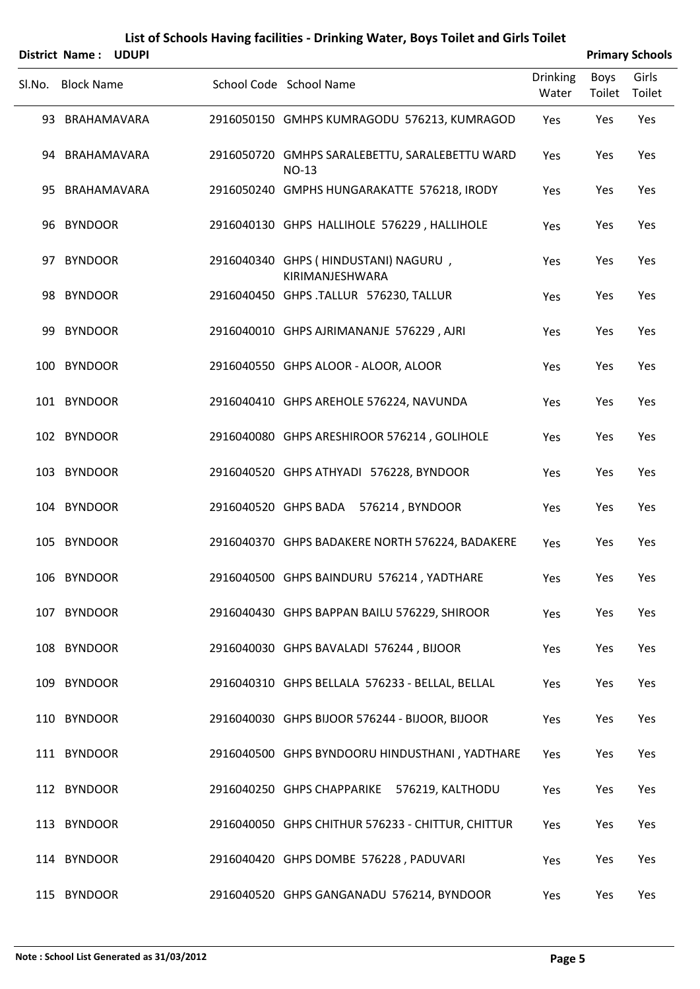|        | District Name: UDUPI |                                                                |                          |                | <b>Primary Schools</b> |
|--------|----------------------|----------------------------------------------------------------|--------------------------|----------------|------------------------|
| Sl.No. | <b>Block Name</b>    | School Code School Name                                        | <b>Drinking</b><br>Water | Boys<br>Toilet | Girls<br>Toilet        |
|        | 93 BRAHAMAVARA       | 2916050150 GMHPS KUMRAGODU 576213, KUMRAGOD                    | Yes                      | Yes            | Yes                    |
|        | 94 BRAHAMAVARA       | 2916050720 GMHPS SARALEBETTU, SARALEBETTU WARD<br><b>NO-13</b> | Yes                      | Yes            | Yes                    |
|        | 95 BRAHAMAVARA       | 2916050240 GMPHS HUNGARAKATTE 576218, IRODY                    | Yes                      | Yes            | Yes                    |
|        | 96 BYNDOOR           | 2916040130 GHPS HALLIHOLE 576229, HALLIHOLE                    | Yes                      | Yes            | Yes                    |
|        | 97 BYNDOOR           | 2916040340 GHPS (HINDUSTANI) NAGURU,<br>KIRIMANJESHWARA        | Yes                      | Yes            | Yes                    |
|        | 98 BYNDOOR           | 2916040450 GHPS .TALLUR 576230, TALLUR                         | Yes                      | Yes            | Yes                    |
|        | 99 BYNDOOR           | 2916040010 GHPS AJRIMANANJE 576229, AJRI                       | Yes                      | Yes            | Yes                    |
|        | 100 BYNDOOR          | 2916040550 GHPS ALOOR - ALOOR, ALOOR                           | Yes                      | Yes            | Yes                    |
|        | 101 BYNDOOR          | 2916040410 GHPS AREHOLE 576224, NAVUNDA                        | Yes                      | Yes            | Yes                    |
|        | 102 BYNDOOR          | 2916040080 GHPS ARESHIROOR 576214, GOLIHOLE                    | Yes                      | Yes            | Yes                    |
|        | 103 BYNDOOR          | 2916040520 GHPS ATHYADI 576228, BYNDOOR                        | Yes                      | Yes            | Yes                    |
|        | 104 BYNDOOR          | 2916040520 GHPS BADA 576214, BYNDOOR                           | Yes                      | Yes            | Yes                    |
|        | 105 BYNDOOR          | 2916040370 GHPS BADAKERE NORTH 576224, BADAKERE                | Yes                      | Yes            | Yes                    |
|        | 106 BYNDOOR          | 2916040500 GHPS BAINDURU 576214, YADTHARE                      | Yes                      | Yes            | Yes                    |
|        | 107 BYNDOOR          | 2916040430 GHPS BAPPAN BAILU 576229, SHIROOR                   | Yes                      | Yes            | Yes                    |
|        | 108 BYNDOOR          | 2916040030 GHPS BAVALADI 576244, BIJOOR                        | Yes                      | Yes            | Yes                    |
|        | 109 BYNDOOR          | 2916040310 GHPS BELLALA 576233 - BELLAL, BELLAL                | Yes                      | Yes            | Yes                    |
|        | 110 BYNDOOR          | 2916040030 GHPS BIJOOR 576244 - BIJOOR, BIJOOR                 | Yes                      | Yes            | Yes                    |
|        | 111 BYNDOOR          | 2916040500 GHPS BYNDOORU HINDUSTHANI, YADTHARE                 | Yes                      | Yes            | Yes                    |
|        | 112 BYNDOOR          | 2916040250 GHPS CHAPPARIKE 576219, KALTHODU                    | Yes                      | Yes            | Yes                    |
|        | 113 BYNDOOR          | 2916040050 GHPS CHITHUR 576233 - CHITTUR, CHITTUR              | Yes                      | Yes            | Yes                    |
|        | 114 BYNDOOR          | 2916040420 GHPS DOMBE 576228, PADUVARI                         | Yes                      | Yes            | Yes                    |
|        | 115 BYNDOOR          | 2916040520 GHPS GANGANADU 576214, BYNDOOR                      | Yes                      | Yes            | Yes                    |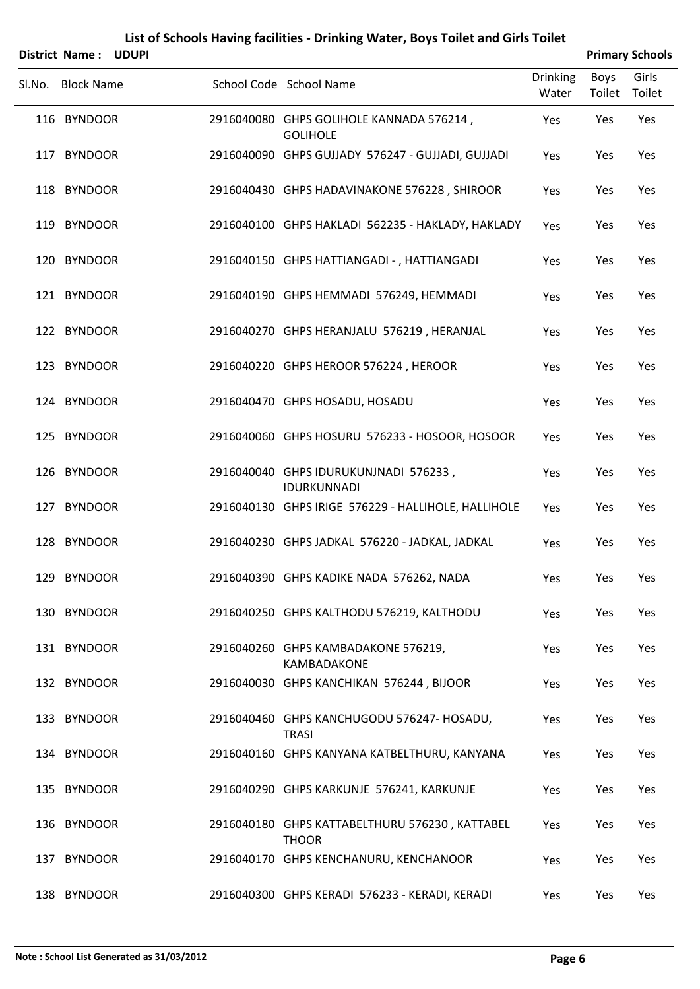|        | District Name:    | <b>UDUPI</b> |                                                                |                          |                | <b>Primary Schools</b> |
|--------|-------------------|--------------|----------------------------------------------------------------|--------------------------|----------------|------------------------|
| Sl.No. | <b>Block Name</b> |              | School Code School Name                                        | <b>Drinking</b><br>Water | Boys<br>Toilet | Girls<br>Toilet        |
|        | 116 BYNDOOR       |              | 2916040080 GHPS GOLIHOLE KANNADA 576214,<br><b>GOLIHOLE</b>    | Yes                      | Yes            | Yes                    |
|        | 117 BYNDOOR       |              | 2916040090 GHPS GUJJADY 576247 - GUJJADI, GUJJADI              | Yes                      | Yes            | Yes                    |
|        | 118 BYNDOOR       |              | 2916040430 GHPS HADAVINAKONE 576228, SHIROOR                   | Yes                      | Yes            | Yes                    |
|        | 119 BYNDOOR       |              | 2916040100 GHPS HAKLADI 562235 - HAKLADY, HAKLADY              | Yes                      | Yes            | Yes                    |
|        | 120 BYNDOOR       |              | 2916040150 GHPS HATTIANGADI - , HATTIANGADI                    | Yes                      | Yes            | Yes                    |
|        | 121 BYNDOOR       |              | 2916040190 GHPS HEMMADI 576249, HEMMADI                        | Yes                      | Yes            | Yes                    |
|        | 122 BYNDOOR       |              | 2916040270 GHPS HERANJALU 576219, HERANJAL                     | Yes                      | Yes            | Yes                    |
|        | 123 BYNDOOR       |              | 2916040220 GHPS HEROOR 576224, HEROOR                          | Yes                      | Yes            | Yes                    |
|        | 124 BYNDOOR       |              | 2916040470 GHPS HOSADU, HOSADU                                 | Yes                      | Yes            | Yes                    |
|        | 125 BYNDOOR       |              | 2916040060 GHPS HOSURU 576233 - HOSOOR, HOSOOR                 | Yes                      | Yes            | Yes                    |
|        | 126 BYNDOOR       |              | 2916040040 GHPS IDURUKUNJNADI 576233,<br>IDURKUNNADI           | Yes                      | Yes            | Yes                    |
|        | 127 BYNDOOR       |              | 2916040130 GHPS IRIGE 576229 - HALLIHOLE, HALLIHOLE            | Yes                      | Yes            | Yes                    |
|        | 128 BYNDOOR       |              | 2916040230 GHPS JADKAL 576220 - JADKAL, JADKAL                 | Yes                      | Yes            | Yes                    |
|        | 129 BYNDOOR       |              | 2916040390 GHPS KADIKE NADA 576262, NADA                       | Yes                      | Yes            | Yes                    |
|        | 130 BYNDOOR       |              | 2916040250 GHPS KALTHODU 576219, KALTHODU                      | Yes                      | Yes            | Yes                    |
|        | 131 BYNDOOR       |              | 2916040260 GHPS KAMBADAKONE 576219,<br>KAMBADAKONE             | Yes                      | Yes            | Yes                    |
|        | 132 BYNDOOR       |              | 2916040030 GHPS KANCHIKAN 576244, BIJOOR                       | Yes                      | Yes            | Yes                    |
|        | 133 BYNDOOR       |              | 2916040460 GHPS KANCHUGODU 576247- HOSADU,<br><b>TRASI</b>     | Yes                      | Yes            | Yes                    |
|        | 134 BYNDOOR       |              | 2916040160 GHPS KANYANA KATBELTHURU, KANYANA                   | Yes                      | Yes            | Yes                    |
|        | 135 BYNDOOR       |              | 2916040290 GHPS KARKUNJE 576241, KARKUNJE                      | Yes                      | Yes            | Yes                    |
|        | 136 BYNDOOR       |              | 2916040180 GHPS KATTABELTHURU 576230, KATTABEL<br><b>THOOR</b> | Yes                      | Yes            | Yes                    |
|        | 137 BYNDOOR       |              | 2916040170 GHPS KENCHANURU, KENCHANOOR                         | Yes                      | Yes            | Yes                    |
|        | 138 BYNDOOR       |              | 2916040300 GHPS KERADI 576233 - KERADI, KERADI                 | Yes                      | Yes            | Yes                    |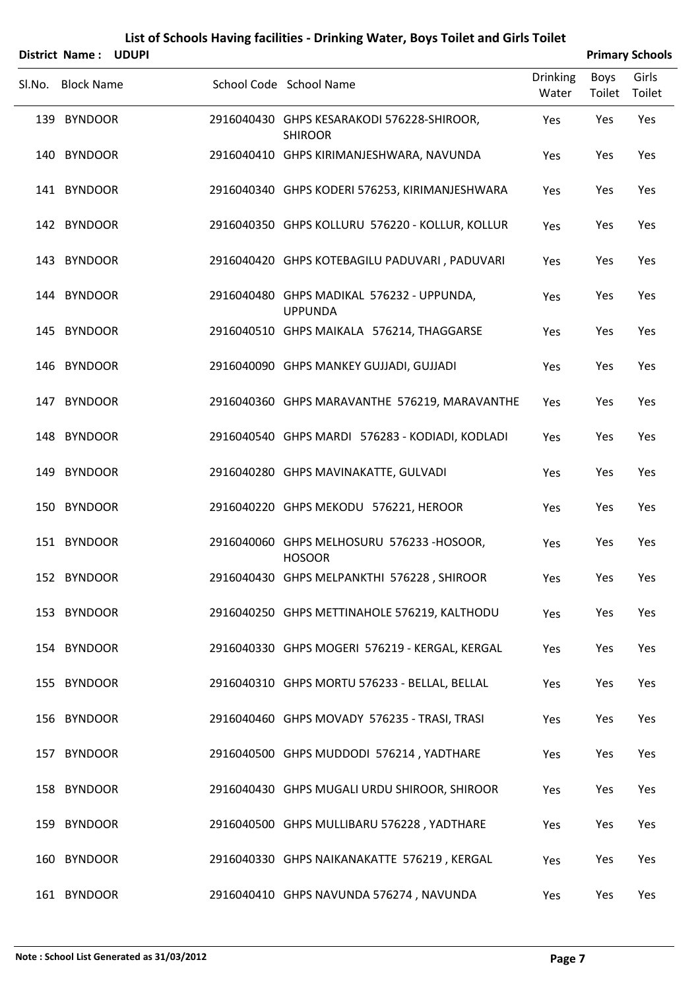|        | District Name: UDUPI |  |                                                              |                          |                       | <b>Primary Schools</b> |
|--------|----------------------|--|--------------------------------------------------------------|--------------------------|-----------------------|------------------------|
| Sl.No. | <b>Block Name</b>    |  | School Code School Name                                      | <b>Drinking</b><br>Water | <b>Boys</b><br>Toilet | Girls<br>Toilet        |
|        | 139 BYNDOOR          |  | 2916040430 GHPS KESARAKODI 576228-SHIROOR,<br><b>SHIROOR</b> | Yes                      | Yes                   | Yes                    |
|        | 140 BYNDOOR          |  | 2916040410 GHPS KIRIMANJESHWARA, NAVUNDA                     | Yes                      | Yes                   | Yes                    |
|        | 141 BYNDOOR          |  | 2916040340 GHPS KODERI 576253, KIRIMANJESHWARA               | Yes                      | Yes                   | Yes                    |
|        | 142 BYNDOOR          |  | 2916040350 GHPS KOLLURU 576220 - KOLLUR, KOLLUR              | Yes                      | Yes                   | Yes                    |
|        | 143 BYNDOOR          |  | 2916040420 GHPS KOTEBAGILU PADUVARI, PADUVARI                | Yes                      | Yes                   | Yes                    |
|        | 144 BYNDOOR          |  | 2916040480 GHPS MADIKAL 576232 - UPPUNDA,<br><b>UPPUNDA</b>  | Yes                      | Yes                   | Yes                    |
|        | 145 BYNDOOR          |  | 2916040510 GHPS MAIKALA 576214, THAGGARSE                    | Yes                      | Yes                   | Yes                    |
|        | 146 BYNDOOR          |  | 2916040090 GHPS MANKEY GUJJADI, GUJJADI                      | Yes                      | Yes                   | Yes                    |
|        | 147 BYNDOOR          |  | 2916040360 GHPS MARAVANTHE 576219, MARAVANTHE                | Yes                      | Yes                   | Yes                    |
|        | 148 BYNDOOR          |  | 2916040540 GHPS MARDI 576283 - KODIADI, KODLADI              | Yes                      | Yes                   | Yes                    |
|        | 149 BYNDOOR          |  | 2916040280 GHPS MAVINAKATTE, GULVADI                         | Yes                      | Yes                   | Yes                    |
|        | 150 BYNDOOR          |  | 2916040220 GHPS MEKODU 576221, HEROOR                        | Yes                      | Yes                   | Yes                    |
|        | 151 BYNDOOR          |  | 2916040060 GHPS MELHOSURU 576233 -HOSOOR,<br><b>HOSOOR</b>   | Yes                      | Yes                   | Yes                    |
|        | 152 BYNDOOR          |  | 2916040430 GHPS MELPANKTHI 576228, SHIROOR                   | Yes                      | Yes                   | Yes                    |
|        | 153 BYNDOOR          |  | 2916040250 GHPS METTINAHOLE 576219, KALTHODU                 | Yes                      | Yes                   | Yes                    |
|        | 154 BYNDOOR          |  | 2916040330 GHPS MOGERI 576219 - KERGAL, KERGAL               | Yes                      | Yes                   | Yes                    |
|        | 155 BYNDOOR          |  | 2916040310 GHPS MORTU 576233 - BELLAL, BELLAL                | Yes                      | Yes                   | Yes                    |
|        | 156 BYNDOOR          |  | 2916040460 GHPS MOVADY 576235 - TRASI, TRASI                 | Yes                      | Yes                   | Yes                    |
|        | 157 BYNDOOR          |  | 2916040500 GHPS MUDDODI 576214, YADTHARE                     | Yes                      | Yes                   | Yes                    |
|        | 158 BYNDOOR          |  | 2916040430 GHPS MUGALI URDU SHIROOR, SHIROOR                 | Yes                      | Yes                   | Yes                    |
|        | 159 BYNDOOR          |  | 2916040500 GHPS MULLIBARU 576228, YADTHARE                   | Yes                      | Yes                   | Yes                    |
|        | 160 BYNDOOR          |  | 2916040330 GHPS NAIKANAKATTE 576219, KERGAL                  | Yes                      | Yes                   | Yes                    |

BYNDOOR 2916040410 GHPS NAVUNDA 576274 , NAVUNDA Yes Yes Yes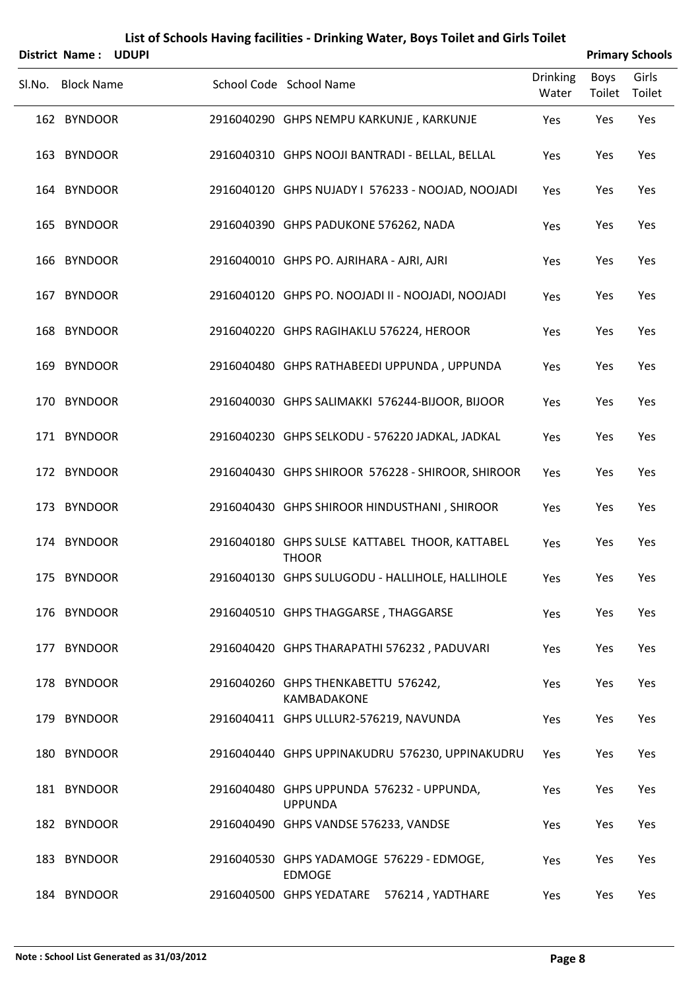|        | <b>District Name:</b> | <b>UDUPI</b> |                                                                |                          |                | <b>Primary Schools</b> |
|--------|-----------------------|--------------|----------------------------------------------------------------|--------------------------|----------------|------------------------|
| Sl.No. | <b>Block Name</b>     |              | School Code School Name                                        | <b>Drinking</b><br>Water | Boys<br>Toilet | Girls<br>Toilet        |
|        | 162 BYNDOOR           |              | 2916040290 GHPS NEMPU KARKUNJE, KARKUNJE                       | Yes                      | Yes            | Yes                    |
|        | 163 BYNDOOR           |              | 2916040310 GHPS NOOJI BANTRADI - BELLAL, BELLAL                | Yes                      | Yes            | Yes                    |
|        | 164 BYNDOOR           |              | 2916040120 GHPS NUJADY I 576233 - NOOJAD, NOOJADI              | Yes                      | Yes            | Yes                    |
|        | 165 BYNDOOR           |              | 2916040390 GHPS PADUKONE 576262, NADA                          | Yes                      | Yes            | Yes                    |
|        | 166 BYNDOOR           |              | 2916040010 GHPS PO. AJRIHARA - AJRI, AJRI                      | Yes                      | Yes            | Yes                    |
|        | 167 BYNDOOR           |              | 2916040120 GHPS PO. NOOJADI II - NOOJADI, NOOJADI              | Yes                      | Yes            | Yes                    |
|        | 168 BYNDOOR           |              | 2916040220 GHPS RAGIHAKLU 576224, HEROOR                       | Yes                      | Yes            | Yes                    |
|        | 169 BYNDOOR           |              | 2916040480 GHPS RATHABEEDI UPPUNDA, UPPUNDA                    | Yes                      | Yes            | Yes                    |
|        | 170 BYNDOOR           |              | 2916040030 GHPS SALIMAKKI 576244-BIJOOR, BIJOOR                | Yes                      | Yes            | Yes                    |
|        | 171 BYNDOOR           |              | 2916040230 GHPS SELKODU - 576220 JADKAL, JADKAL                | Yes                      | Yes            | Yes                    |
|        | 172 BYNDOOR           |              | 2916040430 GHPS SHIROOR 576228 - SHIROOR, SHIROOR              | Yes                      | Yes            | Yes                    |
|        | 173 BYNDOOR           |              | 2916040430 GHPS SHIROOR HINDUSTHANI, SHIROOR                   | Yes                      | Yes            | Yes                    |
|        | 174 BYNDOOR           |              | 2916040180 GHPS SULSE KATTABEL THOOR, KATTABEL<br><b>THOOR</b> | Yes                      | Yes            | Yes                    |
|        | 175 BYNDOOR           |              | 2916040130 GHPS SULUGODU - HALLIHOLE, HALLIHOLE                | Yes                      | Yes            | Yes                    |
|        | 176 BYNDOOR           |              | 2916040510 GHPS THAGGARSE, THAGGARSE                           | Yes                      | Yes            | Yes                    |
|        | 177 BYNDOOR           |              | 2916040420 GHPS THARAPATHI 576232, PADUVARI                    | Yes                      | Yes            | Yes                    |
|        | 178 BYNDOOR           |              | 2916040260 GHPS THENKABETTU 576242,<br>KAMBADAKONE             | Yes                      | Yes            | Yes                    |
|        | 179 BYNDOOR           |              | 2916040411 GHPS ULLUR2-576219, NAVUNDA                         | Yes                      | Yes            | Yes                    |
|        | 180 BYNDOOR           |              | 2916040440 GHPS UPPINAKUDRU 576230, UPPINAKUDRU                | Yes                      | Yes            | Yes                    |
|        | 181 BYNDOOR           |              | 2916040480 GHPS UPPUNDA 576232 - UPPUNDA,<br><b>UPPUNDA</b>    | Yes                      | Yes            | Yes                    |
|        | 182 BYNDOOR           |              | 2916040490 GHPS VANDSE 576233, VANDSE                          | Yes                      | Yes            | Yes                    |
|        | 183 BYNDOOR           |              | 2916040530 GHPS YADAMOGE 576229 - EDMOGE,<br><b>EDMOGE</b>     | Yes                      | Yes            | Yes                    |
|        | 184 BYNDOOR           |              | 2916040500 GHPS YEDATARE<br>576214, YADTHARE                   | Yes                      | Yes            | Yes                    |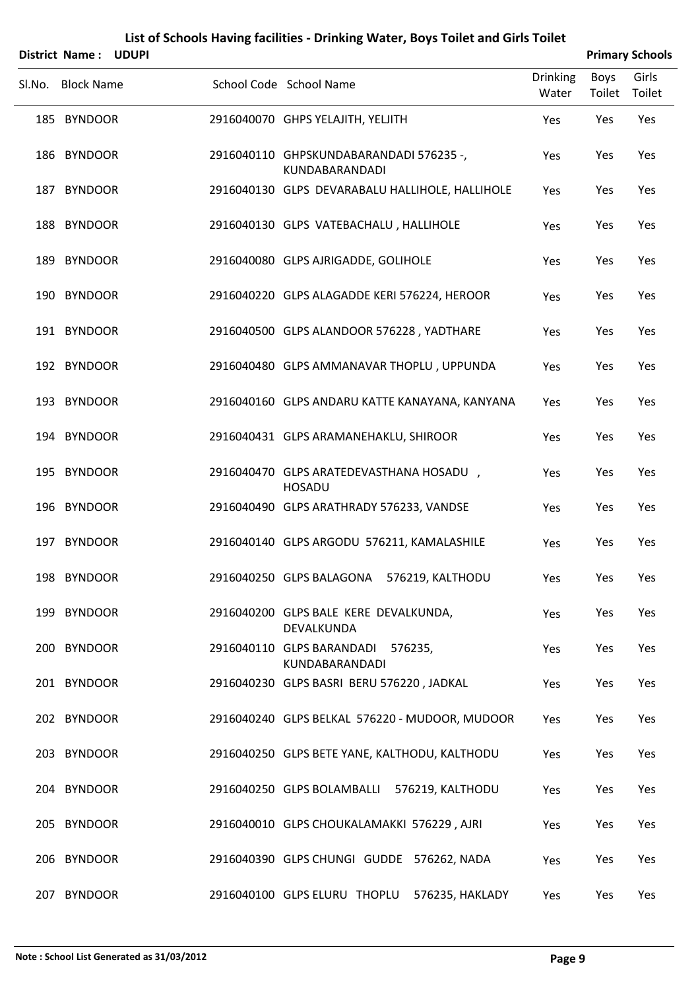|        | <b>District Name:</b> | <b>UDUPI</b> |                                                           |                          |                | <b>Primary Schools</b> |
|--------|-----------------------|--------------|-----------------------------------------------------------|--------------------------|----------------|------------------------|
| SI.No. | <b>Block Name</b>     |              | School Code School Name                                   | <b>Drinking</b><br>Water | Boys<br>Toilet | Girls<br>Toilet        |
|        | 185 BYNDOOR           |              | 2916040070 GHPS YELAJITH, YELJITH                         | Yes                      | Yes            | Yes                    |
|        | 186 BYNDOOR           |              | 2916040110 GHPSKUNDABARANDADI 576235 -,<br>KUNDABARANDADI | Yes                      | Yes            | Yes                    |
|        | 187 BYNDOOR           |              | 2916040130 GLPS DEVARABALU HALLIHOLE, HALLIHOLE           | Yes                      | Yes            | Yes                    |
|        | 188 BYNDOOR           |              | 2916040130 GLPS VATEBACHALU, HALLIHOLE                    | Yes                      | Yes            | Yes                    |
| 189    | <b>BYNDOOR</b>        |              | 2916040080 GLPS AJRIGADDE, GOLIHOLE                       | Yes                      | Yes            | Yes                    |
|        | 190 BYNDOOR           |              | 2916040220 GLPS ALAGADDE KERI 576224, HEROOR              | Yes                      | Yes            | Yes                    |
|        | 191 BYNDOOR           |              | 2916040500 GLPS ALANDOOR 576228, YADTHARE                 | Yes                      | Yes            | Yes                    |
|        | 192 BYNDOOR           |              | 2916040480 GLPS AMMANAVAR THOPLU, UPPUNDA                 | Yes                      | Yes            | Yes                    |
|        | 193 BYNDOOR           |              | 2916040160 GLPS ANDARU KATTE KANAYANA, KANYANA            | Yes                      | Yes            | Yes                    |
|        | 194 BYNDOOR           |              | 2916040431 GLPS ARAMANEHAKLU, SHIROOR                     | Yes                      | Yes            | Yes                    |
|        | 195 BYNDOOR           |              | 2916040470 GLPS ARATEDEVASTHANA HOSADU,<br><b>HOSADU</b>  | Yes                      | Yes            | Yes                    |
|        | 196 BYNDOOR           |              | 2916040490 GLPS ARATHRADY 576233, VANDSE                  | Yes                      | Yes            | Yes                    |
|        | 197 BYNDOOR           |              | 2916040140 GLPS ARGODU 576211, KAMALASHILE                | Yes                      | Yes            | Yes                    |
|        | 198 BYNDOOR           |              | 2916040250 GLPS BALAGONA 576219, KALTHODU                 | Yes                      | Yes            | Yes                    |
|        | 199 BYNDOOR           |              | 2916040200 GLPS BALE KERE DEVALKUNDA,<br>DEVALKUNDA       | Yes                      | Yes            | Yes                    |
|        | 200 BYNDOOR           |              | 2916040110 GLPS BARANDADI<br>576235,<br>KUNDABARANDADI    | Yes                      | Yes            | Yes                    |
|        | 201 BYNDOOR           |              | 2916040230 GLPS BASRI BERU 576220, JADKAL                 | Yes                      | Yes            | Yes                    |
|        | 202 BYNDOOR           |              | 2916040240 GLPS BELKAL 576220 - MUDOOR, MUDOOR            | Yes                      | Yes            | Yes                    |
|        | 203 BYNDOOR           |              | 2916040250 GLPS BETE YANE, KALTHODU, KALTHODU             | Yes                      | Yes            | Yes                    |
|        | 204 BYNDOOR           |              | 2916040250 GLPS BOLAMBALLI 576219, KALTHODU               | Yes                      | Yes            | Yes                    |
|        | 205 BYNDOOR           |              | 2916040010 GLPS CHOUKALAMAKKI 576229, AJRI                | Yes                      | Yes            | Yes                    |
|        | 206 BYNDOOR           |              | 2916040390 GLPS CHUNGI GUDDE 576262, NADA                 | Yes                      | Yes            | Yes                    |
|        | 207 BYNDOOR           |              | 2916040100 GLPS ELURU THOPLU<br>576235, HAKLADY           | Yes                      | Yes            | Yes                    |

L,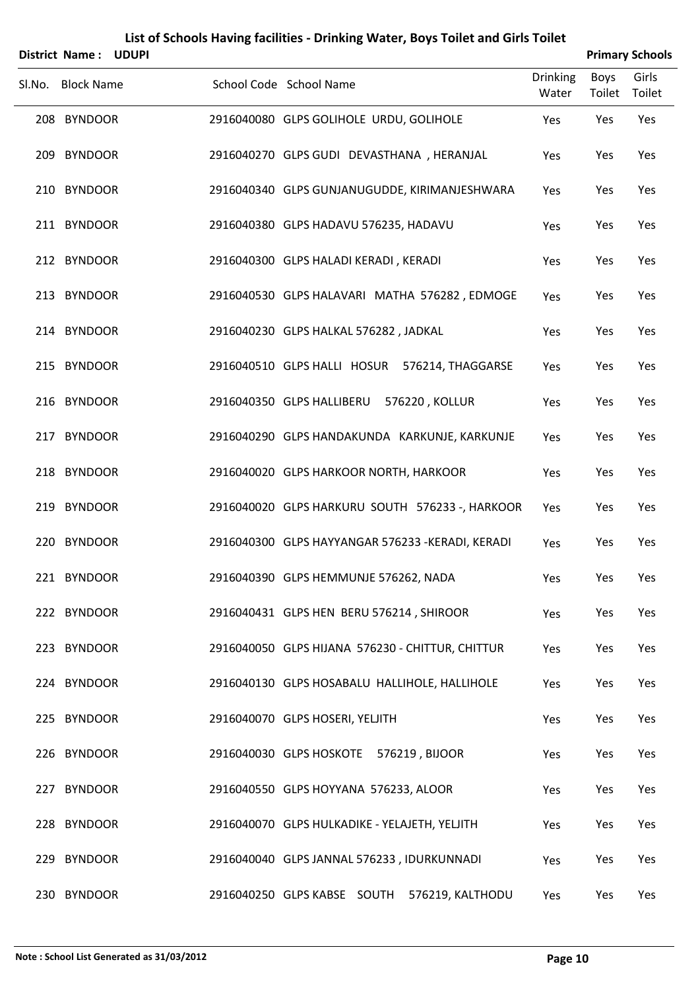|        | <b>District Name:</b> | <b>UDUPI</b> |                                                   |                          |                | <b>Primary Schools</b> |
|--------|-----------------------|--------------|---------------------------------------------------|--------------------------|----------------|------------------------|
| Sl.No. | <b>Block Name</b>     |              | School Code School Name                           | <b>Drinking</b><br>Water | Boys<br>Toilet | Girls<br>Toilet        |
|        | 208 BYNDOOR           |              | 2916040080 GLPS GOLIHOLE URDU, GOLIHOLE           | Yes                      | Yes            | Yes                    |
|        | 209 BYNDOOR           |              | 2916040270 GLPS GUDI DEVASTHANA, HERANJAL         | Yes                      | Yes            | Yes                    |
|        | 210 BYNDOOR           |              | 2916040340 GLPS GUNJANUGUDDE, KIRIMANJESHWARA     | Yes                      | Yes            | Yes                    |
|        | 211 BYNDOOR           |              | 2916040380 GLPS HADAVU 576235, HADAVU             | Yes                      | Yes            | Yes                    |
|        | 212 BYNDOOR           |              | 2916040300 GLPS HALADI KERADI, KERADI             | Yes                      | Yes            | Yes                    |
|        | 213 BYNDOOR           |              | 2916040530 GLPS HALAVARI MATHA 576282, EDMOGE     | Yes                      | Yes            | Yes                    |
|        | 214 BYNDOOR           |              | 2916040230 GLPS HALKAL 576282, JADKAL             | Yes                      | Yes            | Yes                    |
|        | 215 BYNDOOR           |              | 2916040510 GLPS HALLI HOSUR 576214, THAGGARSE     | Yes                      | Yes            | Yes                    |
|        | 216 BYNDOOR           |              | 2916040350 GLPS HALLIBERU<br>576220, KOLLUR       | Yes                      | Yes            | Yes                    |
|        | 217 BYNDOOR           |              | 2916040290 GLPS HANDAKUNDA KARKUNJE, KARKUNJE     | Yes                      | Yes            | Yes                    |
|        | 218 BYNDOOR           |              | 2916040020 GLPS HARKOOR NORTH, HARKOOR            | Yes                      | Yes            | Yes                    |
|        | 219 BYNDOOR           |              | 2916040020 GLPS HARKURU SOUTH 576233 -, HARKOOR   | Yes                      | Yes            | Yes                    |
|        | 220 BYNDOOR           |              | 2916040300 GLPS HAYYANGAR 576233 - KERADI, KERADI | Yes                      | Yes            | Yes                    |
|        | 221 BYNDOOR           |              | 2916040390 GLPS HEMMUNJE 576262, NADA             | Yes                      | Yes            | Yes                    |
|        | 222 BYNDOOR           |              | 2916040431 GLPS HEN BERU 576214, SHIROOR          | Yes                      | Yes            | Yes                    |
|        | 223 BYNDOOR           |              | 2916040050 GLPS HIJANA 576230 - CHITTUR, CHITTUR  | Yes                      | Yes            | Yes                    |
|        | 224 BYNDOOR           |              | 2916040130 GLPS HOSABALU HALLIHOLE, HALLIHOLE     | Yes                      | Yes            | Yes                    |
|        | 225 BYNDOOR           |              | 2916040070 GLPS HOSERI, YELJITH                   | Yes                      | Yes            | Yes                    |
|        | 226 BYNDOOR           |              | 2916040030 GLPS HOSKOTE 576219, BIJOOR            | Yes                      | Yes            | Yes                    |
|        | 227 BYNDOOR           |              | 2916040550 GLPS HOYYANA 576233, ALOOR             | Yes                      | Yes            | Yes                    |
|        | 228 BYNDOOR           |              | 2916040070 GLPS HULKADIKE - YELAJETH, YELJITH     | Yes                      | Yes            | Yes                    |
|        | 229 BYNDOOR           |              | 2916040040 GLPS JANNAL 576233, IDURKUNNADI        | Yes                      | Yes            | Yes                    |
|        | 230 BYNDOOR           |              | 2916040250 GLPS KABSE SOUTH<br>576219, KALTHODU   | Yes                      | Yes            | Yes                    |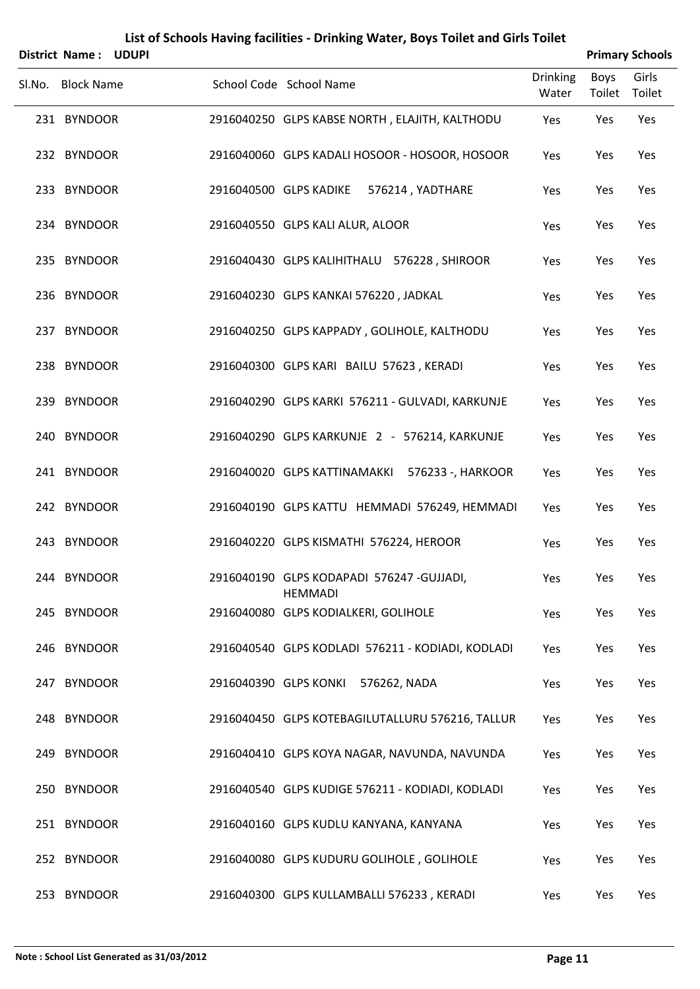| List of Schools Having facilities - Drinking Water, Boys Toilet and Girls Toilet<br><b>Primary Schools</b><br><b>District Name:</b><br><b>UDUPI</b> |  |  |                                       |                                                   |                 |             |        |  |  |  |
|-----------------------------------------------------------------------------------------------------------------------------------------------------|--|--|---------------------------------------|---------------------------------------------------|-----------------|-------------|--------|--|--|--|
|                                                                                                                                                     |  |  |                                       |                                                   | <b>Drinking</b> | <b>Boys</b> | Girls  |  |  |  |
| Sl.No. Block Name                                                                                                                                   |  |  | School Code School Name               |                                                   | Water           | Toilet      | Toilet |  |  |  |
| 231 BYNDOOR                                                                                                                                         |  |  |                                       | 2916040250 GLPS KABSE NORTH, ELAJITH, KALTHODU    | Yes             | Yes         | Yes    |  |  |  |
| 232 BYNDOOR                                                                                                                                         |  |  |                                       | 2916040060 GLPS KADALI HOSOOR - HOSOOR, HOSOOR    | Yes             | Yes         | Yes    |  |  |  |
| 233 BYNDOOR                                                                                                                                         |  |  | 2916040500 GLPS KADIKE                | 576214, YADTHARE                                  | Yes             | Yes         | Yes    |  |  |  |
| 234 BYNDOOR                                                                                                                                         |  |  | 2916040550 GLPS KALI ALUR, ALOOR      |                                                   | Yes             | Yes         | Yes    |  |  |  |
| 235 BYNDOOR                                                                                                                                         |  |  |                                       | 2916040430 GLPS KALIHITHALU 576228, SHIROOR       | Yes             | Yes         | Yes    |  |  |  |
| 236 BYNDOOR                                                                                                                                         |  |  | 2916040230 GLPS KANKAI 576220, JADKAL |                                                   | Yes             | Yes         | Yes    |  |  |  |
| 237 BYNDOOR                                                                                                                                         |  |  |                                       | 2916040250 GLPS KAPPADY, GOLIHOLE, KALTHODU       | Yes             | Yes         | Yes    |  |  |  |
| 238 BYNDOOR                                                                                                                                         |  |  |                                       | 2916040300 GLPS KARI BAILU 57623, KERADI          | Yes             | Yes         | Yes    |  |  |  |
| 239 BYNDOOR                                                                                                                                         |  |  |                                       | 2916040290 GLPS KARKI 576211 - GULVADI, KARKUNJE  | Yes             | Yes         | Yes    |  |  |  |
| 240 BYNDOOR                                                                                                                                         |  |  |                                       | 2916040290 GLPS KARKUNJE 2 - 576214, KARKUNJE     | Yes             | Yes         | Yes    |  |  |  |
| 241 BYNDOOR                                                                                                                                         |  |  | 2916040020 GLPS KATTINAMAKKI          | 576233 -, HARKOOR                                 | Yes             | Yes         | Yes    |  |  |  |
| 242 BYNDOOR                                                                                                                                         |  |  |                                       | 2916040190 GLPS KATTU HEMMADI 576249, HEMMADI     | Yes             | Yes         | Yes    |  |  |  |
| 243 BYNDOOR                                                                                                                                         |  |  |                                       | 2916040220 GLPS KISMATHI 576224, HEROOR           | Yes             | Yes         | Yes    |  |  |  |
| 244 BYNDOOR                                                                                                                                         |  |  | <b>HEMMADI</b>                        | 2916040190 GLPS KODAPADI 576247 -GUJJADI,         | Yes             | Yes         | Yes    |  |  |  |
| 245 BYNDOOR                                                                                                                                         |  |  | 2916040080 GLPS KODIALKERI, GOLIHOLE  |                                                   | Yes             | Yes         | Yes    |  |  |  |
| 246 BYNDOOR                                                                                                                                         |  |  |                                       | 2916040540 GLPS KODLADI 576211 - KODIADI, KODLADI | Yes             | Yes         | Yes    |  |  |  |
| 247 BYNDOOR                                                                                                                                         |  |  | 2916040390 GLPS KONKI 576262, NADA    |                                                   | Yes             | Yes         | Yes    |  |  |  |
| 248 BYNDOOR                                                                                                                                         |  |  |                                       | 2916040450 GLPS KOTEBAGILUTALLURU 576216, TALLUR  | Yes             | Yes         | Yes    |  |  |  |
| 249 BYNDOOR                                                                                                                                         |  |  |                                       | 2916040410 GLPS KOYA NAGAR, NAVUNDA, NAVUNDA      | Yes             | Yes         | Yes    |  |  |  |
| 250 BYNDOOR                                                                                                                                         |  |  |                                       | 2916040540 GLPS KUDIGE 576211 - KODIADI, KODLADI  | Yes             | Yes         | Yes    |  |  |  |
| 251 BYNDOOR                                                                                                                                         |  |  |                                       | 2916040160 GLPS KUDLU KANYANA, KANYANA            | Yes             | Yes         | Yes    |  |  |  |
| 252 BYNDOOR                                                                                                                                         |  |  |                                       | 2916040080 GLPS KUDURU GOLIHOLE, GOLIHOLE         | Yes             | Yes         | Yes    |  |  |  |
| 253 BYNDOOR                                                                                                                                         |  |  |                                       | 2916040300 GLPS KULLAMBALLI 576233, KERADI        | Yes             | Yes         | Yes    |  |  |  |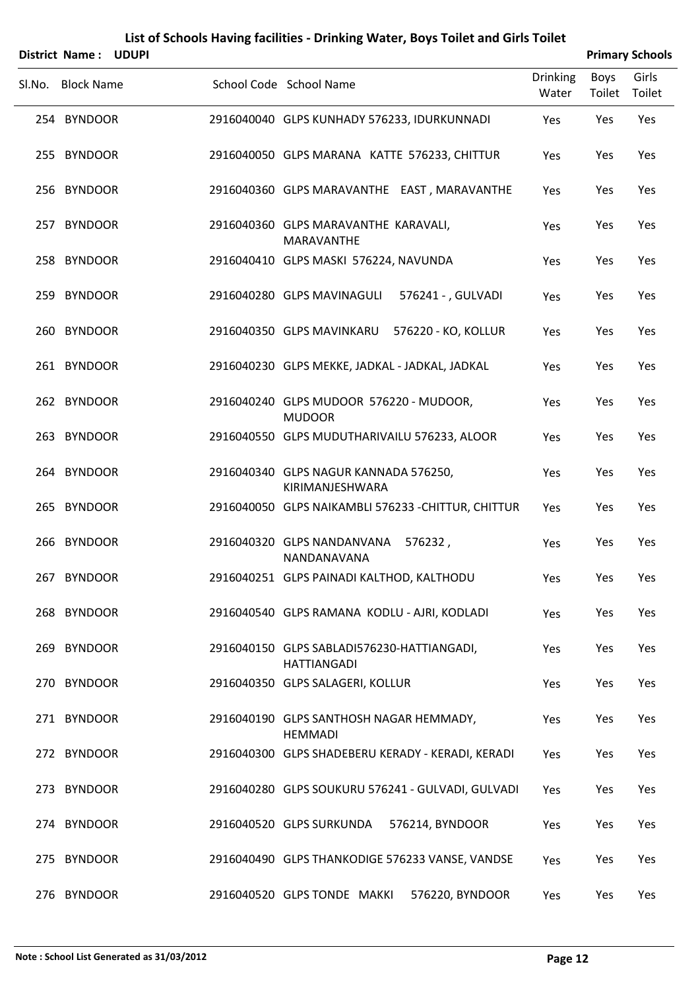|        | District Name:    | <b>UDUPI</b> |                                                                  |                          |                | <b>Primary Schools</b> |
|--------|-------------------|--------------|------------------------------------------------------------------|--------------------------|----------------|------------------------|
| Sl.No. | <b>Block Name</b> |              | School Code School Name                                          | <b>Drinking</b><br>Water | Boys<br>Toilet | Girls<br>Toilet        |
|        | 254 BYNDOOR       |              | 2916040040 GLPS KUNHADY 576233, IDURKUNNADI                      | Yes                      | Yes            | Yes                    |
|        | 255 BYNDOOR       |              | 2916040050 GLPS MARANA KATTE 576233, CHITTUR                     | Yes                      | Yes            | Yes                    |
|        | 256 BYNDOOR       |              | 2916040360 GLPS MARAVANTHE EAST, MARAVANTHE                      | Yes                      | Yes            | Yes                    |
|        | 257 BYNDOOR       |              | 2916040360 GLPS MARAVANTHE KARAVALI,<br><b>MARAVANTHE</b>        | Yes                      | Yes            | Yes                    |
|        | 258 BYNDOOR       |              | 2916040410 GLPS MASKI 576224, NAVUNDA                            | Yes                      | Yes            | Yes                    |
|        | 259 BYNDOOR       |              | 2916040280 GLPS MAVINAGULI<br>576241 - , GULVADI                 | Yes                      | Yes            | Yes                    |
|        | 260 BYNDOOR       |              | 2916040350 GLPS MAVINKARU<br>576220 - KO, KOLLUR                 | Yes                      | Yes            | Yes                    |
|        | 261 BYNDOOR       |              | 2916040230 GLPS MEKKE, JADKAL - JADKAL, JADKAL                   | Yes                      | Yes            | Yes                    |
|        | 262 BYNDOOR       |              | 2916040240 GLPS MUDOOR 576220 - MUDOOR,<br><b>MUDOOR</b>         | Yes                      | Yes            | Yes                    |
|        | 263 BYNDOOR       |              | 2916040550 GLPS MUDUTHARIVAILU 576233, ALOOR                     | Yes                      | Yes            | Yes                    |
|        | 264 BYNDOOR       |              | 2916040340 GLPS NAGUR KANNADA 576250,<br>KIRIMANJESHWARA         | Yes                      | Yes            | Yes                    |
|        | 265 BYNDOOR       |              | 2916040050 GLPS NAIKAMBLI 576233 - CHITTUR, CHITTUR              | Yes                      | Yes            | Yes                    |
|        | 266 BYNDOOR       |              | 2916040320 GLPS NANDANVANA<br>576232,<br>NANDANAVANA             | Yes                      | Yes            | Yes                    |
|        | 267 BYNDOOR       |              | 2916040251 GLPS PAINADI KALTHOD, KALTHODU                        | Yes                      | Yes            | Yes                    |
|        | 268 BYNDOOR       |              | 2916040540 GLPS RAMANA KODLU - AJRI, KODLADI                     | Yes                      | Yes            | Yes                    |
|        | 269 BYNDOOR       |              | 2916040150 GLPS SABLADI576230-HATTIANGADI,<br><b>HATTIANGADI</b> | Yes                      | Yes            | Yes                    |
|        | 270 BYNDOOR       |              | 2916040350 GLPS SALAGERI, KOLLUR                                 | Yes                      | Yes            | Yes                    |
|        | 271 BYNDOOR       |              | 2916040190 GLPS SANTHOSH NAGAR HEMMADY,<br><b>HEMMADI</b>        | Yes                      | Yes            | Yes                    |
|        | 272 BYNDOOR       |              | 2916040300 GLPS SHADEBERU KERADY - KERADI, KERADI                | Yes                      | Yes            | Yes                    |
|        | 273 BYNDOOR       |              | 2916040280 GLPS SOUKURU 576241 - GULVADI, GULVADI                | Yes                      | Yes            | Yes                    |
|        | 274 BYNDOOR       |              | 2916040520 GLPS SURKUNDA<br>576214, BYNDOOR                      | Yes                      | Yes            | Yes                    |
|        | 275 BYNDOOR       |              | 2916040490 GLPS THANKODIGE 576233 VANSE, VANDSE                  | Yes                      | Yes            | Yes                    |
|        | 276 BYNDOOR       |              | 576220, BYNDOOR<br>2916040520 GLPS TONDE MAKKI                   | Yes                      | Yes            | Yes                    |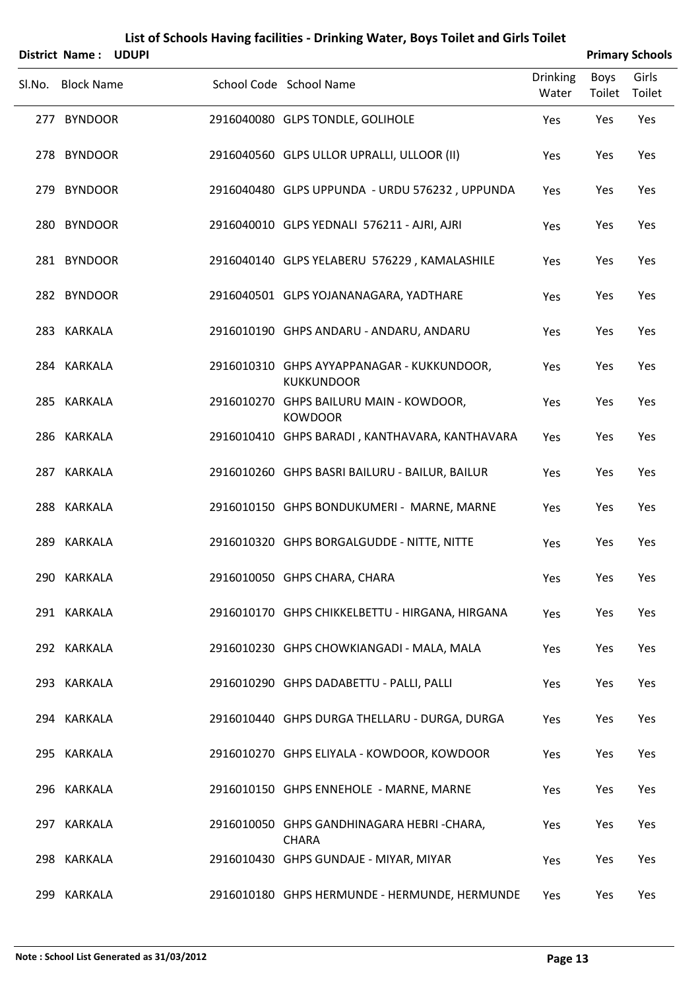| List of Schools Having facilities - Drinking Water, Boys Toilet and Girls Toilet<br><b>Primary Schools</b><br>District Name:<br><b>UDUPI</b> |                   |  |  |                                                                 |                          |                       |                 |  |  |  |
|----------------------------------------------------------------------------------------------------------------------------------------------|-------------------|--|--|-----------------------------------------------------------------|--------------------------|-----------------------|-----------------|--|--|--|
| Sl.No.                                                                                                                                       | <b>Block Name</b> |  |  | School Code School Name                                         | <b>Drinking</b><br>Water | <b>Boys</b><br>Toilet | Girls<br>Toilet |  |  |  |
|                                                                                                                                              | 277 BYNDOOR       |  |  | 2916040080 GLPS TONDLE, GOLIHOLE                                | Yes                      | Yes                   | Yes             |  |  |  |
|                                                                                                                                              | 278 BYNDOOR       |  |  | 2916040560 GLPS ULLOR UPRALLI, ULLOOR (II)                      | Yes                      | Yes                   | Yes             |  |  |  |
|                                                                                                                                              | 279 BYNDOOR       |  |  | 2916040480 GLPS UPPUNDA - URDU 576232, UPPUNDA                  | Yes                      | Yes                   | Yes             |  |  |  |
|                                                                                                                                              | 280 BYNDOOR       |  |  | 2916040010 GLPS YEDNALI 576211 - AJRI, AJRI                     | Yes                      | Yes                   | Yes             |  |  |  |
|                                                                                                                                              | 281 BYNDOOR       |  |  | 2916040140 GLPS YELABERU 576229, KAMALASHILE                    | Yes                      | Yes                   | Yes             |  |  |  |
|                                                                                                                                              | 282 BYNDOOR       |  |  | 2916040501 GLPS YOJANANAGARA, YADTHARE                          | Yes                      | Yes                   | Yes             |  |  |  |
|                                                                                                                                              | 283 KARKALA       |  |  | 2916010190 GHPS ANDARU - ANDARU, ANDARU                         | Yes                      | Yes                   | Yes             |  |  |  |
|                                                                                                                                              | 284 KARKALA       |  |  | 2916010310 GHPS AYYAPPANAGAR - KUKKUNDOOR,<br><b>KUKKUNDOOR</b> | Yes                      | Yes                   | Yes             |  |  |  |
|                                                                                                                                              | 285 KARKALA       |  |  | 2916010270 GHPS BAILURU MAIN - KOWDOOR,<br><b>KOWDOOR</b>       | Yes                      | Yes                   | Yes             |  |  |  |
|                                                                                                                                              | 286 KARKALA       |  |  | 2916010410 GHPS BARADI, KANTHAVARA, KANTHAVARA                  | Yes                      | Yes                   | Yes             |  |  |  |
|                                                                                                                                              | 287 KARKALA       |  |  | 2916010260 GHPS BASRI BAILURU - BAILUR, BAILUR                  | Yes                      | Yes                   | Yes             |  |  |  |
|                                                                                                                                              | 288 KARKALA       |  |  | 2916010150 GHPS BONDUKUMERI - MARNE, MARNE                      | Yes                      | Yes                   | Yes             |  |  |  |
|                                                                                                                                              | 289 KARKALA       |  |  | 2916010320 GHPS BORGALGUDDE - NITTE, NITTE                      | Yes                      | Yes                   | Yes             |  |  |  |
|                                                                                                                                              | 290 KARKALA       |  |  | 2916010050 GHPS CHARA, CHARA                                    | Yes                      | Yes                   | Yes             |  |  |  |
|                                                                                                                                              | 291 KARKALA       |  |  | 2916010170 GHPS CHIKKELBETTU - HIRGANA, HIRGANA                 | Yes                      | Yes                   | Yes             |  |  |  |
|                                                                                                                                              | 292 KARKALA       |  |  | 2916010230 GHPS CHOWKIANGADI - MALA, MALA                       | Yes                      | Yes                   | Yes             |  |  |  |
|                                                                                                                                              | 293 KARKALA       |  |  | 2916010290 GHPS DADABETTU - PALLI, PALLI                        | Yes                      | Yes                   | Yes             |  |  |  |
|                                                                                                                                              | 294 KARKALA       |  |  | 2916010440 GHPS DURGA THELLARU - DURGA, DURGA                   | Yes                      | Yes                   | Yes             |  |  |  |
|                                                                                                                                              | 295 KARKALA       |  |  | 2916010270 GHPS ELIYALA - KOWDOOR, KOWDOOR                      | Yes                      | Yes                   | Yes             |  |  |  |
|                                                                                                                                              | 296 KARKALA       |  |  | 2916010150 GHPS ENNEHOLE - MARNE, MARNE                         | Yes                      | Yes                   | Yes             |  |  |  |
|                                                                                                                                              | 297 KARKALA       |  |  | 2916010050 GHPS GANDHINAGARA HEBRI-CHARA,<br><b>CHARA</b>       | Yes                      | Yes                   | Yes             |  |  |  |
|                                                                                                                                              | 298 KARKALA       |  |  | 2916010430 GHPS GUNDAJE - MIYAR, MIYAR                          | Yes                      | Yes                   | Yes             |  |  |  |
|                                                                                                                                              | 299 KARKALA       |  |  | 2916010180 GHPS HERMUNDE - HERMUNDE, HERMUNDE                   | Yes                      | Yes                   | Yes             |  |  |  |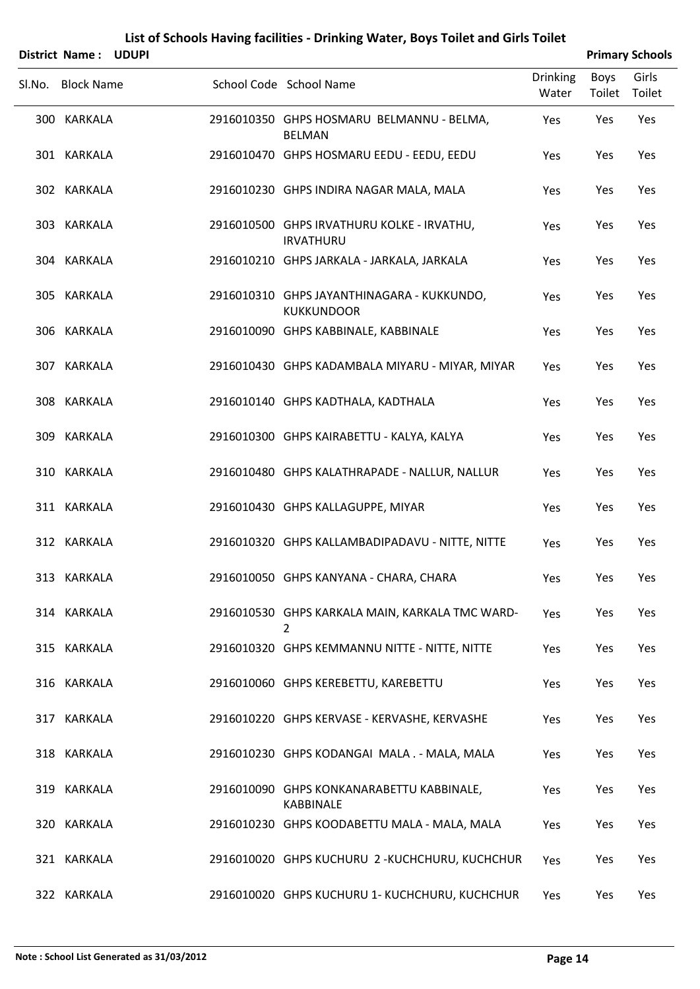|        | District Name: UDUPI |  |                                                                   |                          |                | <b>Primary Schools</b> |
|--------|----------------------|--|-------------------------------------------------------------------|--------------------------|----------------|------------------------|
| Sl.No. | <b>Block Name</b>    |  | School Code School Name                                           | <b>Drinking</b><br>Water | Boys<br>Toilet | Girls<br>Toilet        |
|        | 300 KARKALA          |  | 2916010350 GHPS HOSMARU BELMANNU - BELMA,<br><b>BELMAN</b>        | Yes                      | Yes            | Yes                    |
|        | 301 KARKALA          |  | 2916010470 GHPS HOSMARU EEDU - EEDU, EEDU                         | Yes                      | Yes            | Yes                    |
|        | 302 KARKALA          |  | 2916010230 GHPS INDIRA NAGAR MALA, MALA                           | Yes                      | Yes            | Yes                    |
|        | 303 KARKALA          |  | 2916010500 GHPS IRVATHURU KOLKE - IRVATHU,<br><b>IRVATHURU</b>    | Yes                      | Yes            | Yes                    |
|        | 304 KARKALA          |  | 2916010210 GHPS JARKALA - JARKALA, JARKALA                        | Yes                      | Yes            | Yes                    |
|        | 305 KARKALA          |  | 2916010310 GHPS JAYANTHINAGARA - KUKKUNDO,<br><b>KUKKUNDOOR</b>   | Yes                      | Yes            | Yes                    |
|        | 306 KARKALA          |  | 2916010090 GHPS KABBINALE, KABBINALE                              | Yes                      | Yes            | Yes                    |
|        | 307 KARKALA          |  | 2916010430 GHPS KADAMBALA MIYARU - MIYAR, MIYAR                   | Yes                      | Yes            | Yes                    |
|        | 308 KARKALA          |  | 2916010140 GHPS KADTHALA, KADTHALA                                | Yes                      | Yes            | Yes                    |
|        | 309 KARKALA          |  | 2916010300 GHPS KAIRABETTU - KALYA, KALYA                         | Yes                      | Yes            | Yes                    |
|        | 310 KARKALA          |  | 2916010480 GHPS KALATHRAPADE - NALLUR, NALLUR                     | Yes                      | Yes            | Yes                    |
|        | 311 KARKALA          |  | 2916010430 GHPS KALLAGUPPE, MIYAR                                 | Yes                      | Yes            | Yes                    |
|        | 312 KARKALA          |  | 2916010320 GHPS KALLAMBADIPADAVU - NITTE, NITTE                   | Yes                      | Yes            | Yes                    |
|        | 313 KARKALA          |  | 2916010050 GHPS KANYANA - CHARA, CHARA                            | Yes                      | Yes            | Yes                    |
|        | 314 KARKALA          |  | 2916010530 GHPS KARKALA MAIN, KARKALA TMC WARD-<br>$\overline{2}$ | Yes                      | Yes            | Yes                    |
|        | 315 KARKALA          |  | 2916010320 GHPS KEMMANNU NITTE - NITTE, NITTE                     | Yes                      | Yes            | Yes                    |
|        | 316 KARKALA          |  | 2916010060 GHPS KEREBETTU, KAREBETTU                              | Yes                      | Yes            | Yes                    |
|        | 317 KARKALA          |  | 2916010220 GHPS KERVASE - KERVASHE, KERVASHE                      | Yes                      | Yes            | Yes                    |
|        | 318 KARKALA          |  | 2916010230 GHPS KODANGAI MALA . - MALA, MALA                      | Yes                      | Yes            | Yes                    |
|        | 319 KARKALA          |  | 2916010090 GHPS KONKANARABETTU KABBINALE,<br><b>KABBINALE</b>     | Yes                      | Yes            | Yes                    |
|        | 320 KARKALA          |  | 2916010230 GHPS KOODABETTU MALA - MALA, MALA                      | Yes                      | Yes            | Yes                    |
|        | 321 KARKALA          |  | 2916010020 GHPS KUCHURU 2-KUCHCHURU, KUCHCHUR                     | Yes                      | Yes            | Yes                    |
|        | 322 KARKALA          |  | 2916010020 GHPS KUCHURU 1- KUCHCHURU, KUCHCHUR                    | Yes                      | Yes            | Yes                    |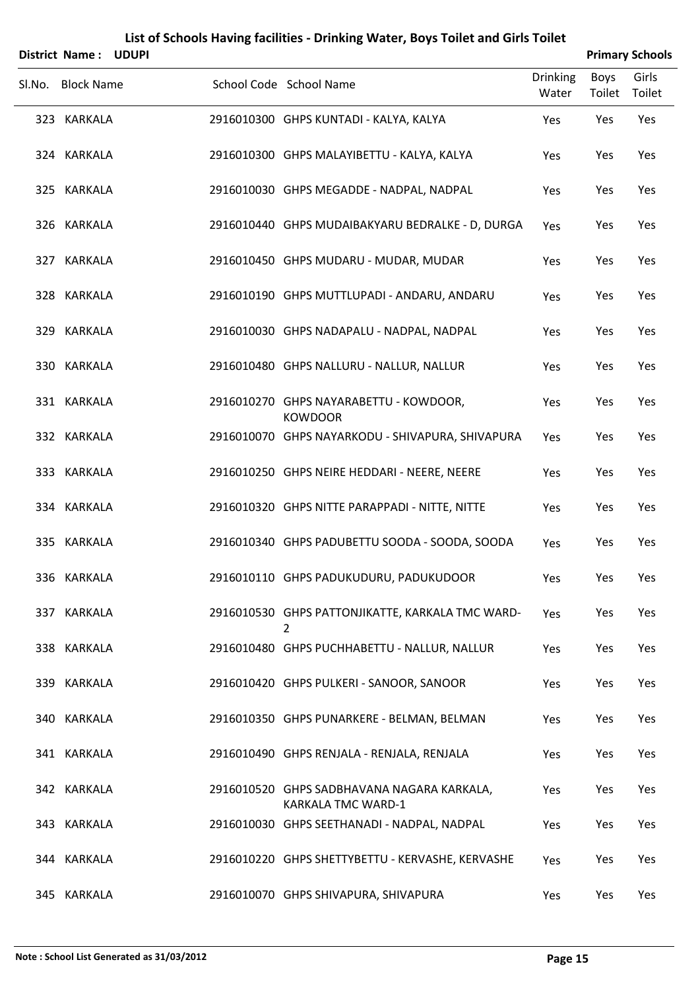| <b>District Name:</b> | <b>UDUPI</b> |                                                                         |                          |                | <b>Primary Schools</b> |
|-----------------------|--------------|-------------------------------------------------------------------------|--------------------------|----------------|------------------------|
| Sl.No. Block Name     |              | School Code School Name                                                 | <b>Drinking</b><br>Water | Boys<br>Toilet | Girls<br>Toilet        |
| 323 KARKALA           |              | 2916010300 GHPS KUNTADI - KALYA, KALYA                                  | Yes                      | Yes            | Yes                    |
| 324 KARKALA           |              | 2916010300 GHPS MALAYIBETTU - KALYA, KALYA                              | Yes                      | Yes            | Yes                    |
| 325 KARKALA           |              | 2916010030 GHPS MEGADDE - NADPAL, NADPAL                                | Yes                      | Yes            | Yes                    |
| 326 KARKALA           |              | 2916010440 GHPS MUDAIBAKYARU BEDRALKE - D, DURGA                        | Yes                      | Yes            | Yes                    |
| 327 KARKALA           |              | 2916010450 GHPS MUDARU - MUDAR, MUDAR                                   | Yes                      | Yes            | Yes                    |
| 328 KARKALA           |              | 2916010190 GHPS MUTTLUPADI - ANDARU, ANDARU                             | Yes                      | Yes            | Yes                    |
| 329 KARKALA           |              | 2916010030 GHPS NADAPALU - NADPAL, NADPAL                               | Yes                      | Yes            | Yes                    |
| 330 KARKALA           |              | 2916010480 GHPS NALLURU - NALLUR, NALLUR                                | Yes                      | Yes            | Yes                    |
| 331 KARKALA           |              | 2916010270 GHPS NAYARABETTU - KOWDOOR,<br><b>KOWDOOR</b>                | Yes                      | Yes            | Yes                    |
| 332 KARKALA           |              | 2916010070 GHPS NAYARKODU - SHIVAPURA, SHIVAPURA                        | Yes                      | Yes            | Yes                    |
| 333 KARKALA           |              | 2916010250 GHPS NEIRE HEDDARI - NEERE, NEERE                            | Yes                      | Yes            | Yes                    |
| 334 KARKALA           |              | 2916010320 GHPS NITTE PARAPPADI - NITTE, NITTE                          | Yes                      | Yes            | Yes                    |
| 335 KARKALA           |              | 2916010340 GHPS PADUBETTU SOODA - SOODA, SOODA                          | Yes                      | Yes            | Yes                    |
| 336 KARKALA           |              | 2916010110 GHPS PADUKUDURU, PADUKUDOOR                                  | Yes                      | Yes            | Yes                    |
| 337 KARKALA           |              | 2916010530 GHPS PATTONJIKATTE, KARKALA TMC WARD-<br>2                   | Yes                      | Yes            | Yes                    |
| 338 KARKALA           |              | 2916010480 GHPS PUCHHABETTU - NALLUR, NALLUR                            | Yes                      | Yes            | Yes                    |
| 339 KARKALA           |              | 2916010420 GHPS PULKERI - SANOOR, SANOOR                                | Yes                      | Yes            | Yes                    |
| 340 KARKALA           |              | 2916010350 GHPS PUNARKERE - BELMAN, BELMAN                              | Yes                      | Yes            | Yes                    |
| 341 KARKALA           |              | 2916010490 GHPS RENJALA - RENJALA, RENJALA                              | Yes                      | Yes            | Yes                    |
| 342 KARKALA           |              | 2916010520 GHPS SADBHAVANA NAGARA KARKALA,<br><b>KARKALA TMC WARD-1</b> | Yes                      | Yes            | Yes                    |
| 343 KARKALA           |              | 2916010030 GHPS SEETHANADI - NADPAL, NADPAL                             | Yes                      | Yes            | Yes                    |
| 344 KARKALA           |              | 2916010220 GHPS SHETTYBETTU - KERVASHE, KERVASHE                        | Yes                      | Yes            | Yes                    |
| 345 KARKALA           |              | 2916010070 GHPS SHIVAPURA, SHIVAPURA                                    | Yes                      | Yes            | Yes                    |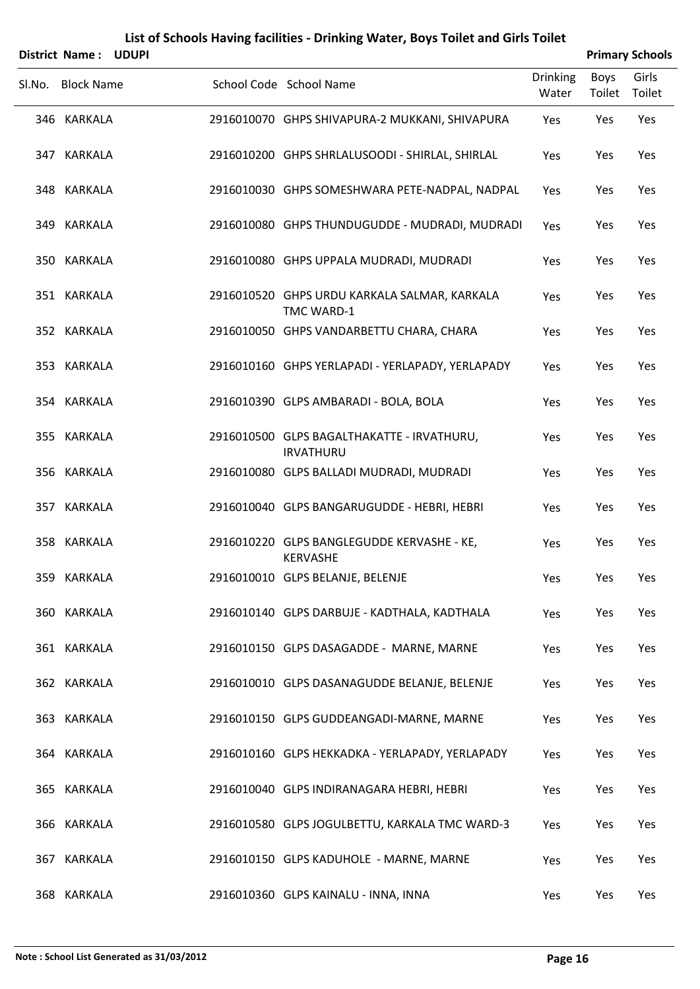| District Name: UDUPI |  |                                                                |                          |                       | <b>Primary Schools</b> |
|----------------------|--|----------------------------------------------------------------|--------------------------|-----------------------|------------------------|
| Sl.No. Block Name    |  | School Code School Name                                        | <b>Drinking</b><br>Water | <b>Boys</b><br>Toilet | Girls<br>Toilet        |
| 346 KARKALA          |  | 2916010070 GHPS SHIVAPURA-2 MUKKANI, SHIVAPURA                 | Yes                      | Yes                   | Yes                    |
| 347 KARKALA          |  | 2916010200 GHPS SHRLALUSOODI - SHIRLAL, SHIRLAL                | Yes                      | Yes                   | Yes                    |
| 348 KARKALA          |  | 2916010030 GHPS SOMESHWARA PETE-NADPAL, NADPAL                 | Yes                      | Yes                   | Yes                    |
| 349 KARKALA          |  | 2916010080 GHPS THUNDUGUDDE - MUDRADI, MUDRADI                 | Yes                      | Yes                   | Yes                    |
| 350 KARKALA          |  | 2916010080 GHPS UPPALA MUDRADI, MUDRADI                        | Yes                      | Yes                   | Yes                    |
| 351 KARKALA          |  | 2916010520 GHPS URDU KARKALA SALMAR, KARKALA<br>TMC WARD-1     | Yes                      | Yes                   | Yes                    |
| 352 KARKALA          |  | 2916010050 GHPS VANDARBETTU CHARA, CHARA                       | Yes                      | Yes                   | Yes                    |
| 353 KARKALA          |  | 2916010160 GHPS YERLAPADI - YERLAPADY, YERLAPADY               | <b>Yes</b>               | Yes                   | Yes                    |
| 354 KARKALA          |  | 2916010390 GLPS AMBARADI - BOLA, BOLA                          | Yes                      | Yes                   | Yes                    |
| 355 KARKALA          |  | 2916010500 GLPS BAGALTHAKATTE - IRVATHURU,<br><b>IRVATHURU</b> | <b>Yes</b>               | Yes                   | Yes                    |
| 356 KARKALA          |  | 2916010080 GLPS BALLADI MUDRADI, MUDRADI                       | Yes                      | Yes                   | Yes                    |
| 357 KARKALA          |  | 2916010040 GLPS BANGARUGUDDE - HEBRI, HEBRI                    | Yes                      | Yes                   | Yes                    |
| 358 KARKALA          |  | 2916010220 GLPS BANGLEGUDDE KERVASHE - KE,<br>KERVASHE         | Yes                      | Yes                   | Yes                    |
| 359 KARKALA          |  | 2916010010 GLPS BELANJE, BELENJE                               | Yes                      | Yes                   | Yes                    |
| 360 KARKALA          |  | 2916010140 GLPS DARBUJE - KADTHALA, KADTHALA                   | Yes                      | Yes                   | Yes                    |
| 361 KARKALA          |  | 2916010150 GLPS DASAGADDE - MARNE, MARNE                       | Yes                      | Yes                   | Yes                    |
| 362 KARKALA          |  | 2916010010 GLPS DASANAGUDDE BELANJE, BELENJE                   | Yes                      | Yes                   | Yes                    |
| 363 KARKALA          |  | 2916010150 GLPS GUDDEANGADI-MARNE, MARNE                       | Yes                      | Yes                   | Yes                    |
| 364 KARKALA          |  | 2916010160 GLPS HEKKADKA - YERLAPADY, YERLAPADY                | Yes                      | Yes                   | Yes                    |
| 365 KARKALA          |  | 2916010040 GLPS INDIRANAGARA HEBRI, HEBRI                      | Yes                      | Yes                   | Yes                    |
| 366 KARKALA          |  | 2916010580 GLPS JOGULBETTU, KARKALA TMC WARD-3                 | Yes                      | Yes                   | Yes                    |
| 367 KARKALA          |  | 2916010150 GLPS KADUHOLE - MARNE, MARNE                        | Yes                      | Yes                   | Yes                    |
| 368 KARKALA          |  | 2916010360 GLPS KAINALU - INNA, INNA                           | Yes                      | Yes                   | Yes                    |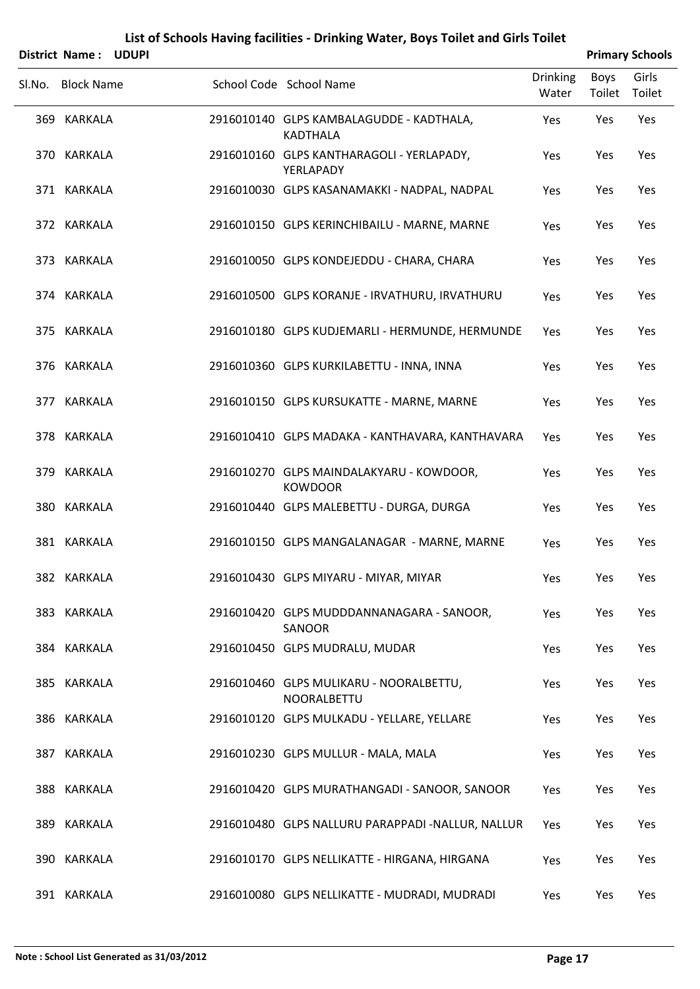|        | District Name: UDUPI |  |                                                             |                          |                | <b>Primary Schools</b> |
|--------|----------------------|--|-------------------------------------------------------------|--------------------------|----------------|------------------------|
| Sl.No. | <b>Block Name</b>    |  | School Code School Name                                     | <b>Drinking</b><br>Water | Boys<br>Toilet | Girls<br>Toilet        |
|        | 369 KARKALA          |  | 2916010140 GLPS KAMBALAGUDDE - KADTHALA,<br><b>KADTHALA</b> | Yes                      | Yes            | Yes                    |
|        | 370 KARKALA          |  | 2916010160 GLPS KANTHARAGOLI - YERLAPADY,<br>YERLAPADY      | Yes                      | Yes            | Yes                    |
|        | 371 KARKALA          |  | 2916010030 GLPS KASANAMAKKI - NADPAL, NADPAL                | Yes                      | Yes            | Yes                    |
|        | 372 KARKALA          |  | 2916010150 GLPS KERINCHIBAILU - MARNE, MARNE                | Yes                      | Yes            | Yes                    |
|        | 373 KARKALA          |  | 2916010050 GLPS KONDEJEDDU - CHARA, CHARA                   | Yes                      | Yes            | Yes                    |
|        | 374 KARKALA          |  | 2916010500 GLPS KORANJE - IRVATHURU, IRVATHURU              | Yes                      | Yes            | Yes                    |
|        | 375 KARKALA          |  | 2916010180 GLPS KUDJEMARLI - HERMUNDE, HERMUNDE             | Yes                      | Yes            | Yes                    |
|        | 376 KARKALA          |  | 2916010360 GLPS KURKILABETTU - INNA, INNA                   | Yes                      | Yes            | Yes                    |
|        | 377 KARKALA          |  | 2916010150 GLPS KURSUKATTE - MARNE, MARNE                   | Yes                      | Yes            | Yes                    |
|        | 378 KARKALA          |  | 2916010410 GLPS MADAKA - KANTHAVARA, KANTHAVARA             | Yes                      | Yes            | Yes                    |
|        | 379 KARKALA          |  | 2916010270 GLPS MAINDALAKYARU - KOWDOOR,<br><b>KOWDOOR</b>  | Yes                      | Yes            | Yes                    |
|        | 380 KARKALA          |  | 2916010440 GLPS MALEBETTU - DURGA, DURGA                    | Yes                      | Yes            | Yes                    |
|        | 381 KARKALA          |  | 2916010150 GLPS MANGALANAGAR - MARNE, MARNE                 | Yes                      | Yes            | Yes                    |
|        | 382 KARKALA          |  | 2916010430 GLPS MIYARU - MIYAR, MIYAR                       | Yes                      | Yes            | Yes                    |
|        | 383 KARKALA          |  | 2916010420 GLPS MUDDDANNANAGARA - SANOOR,<br>SANOOR         | Yes                      | Yes            | Yes                    |
|        | 384 KARKALA          |  | 2916010450 GLPS MUDRALU, MUDAR                              | Yes                      | Yes            | Yes                    |
|        | 385 KARKALA          |  | 2916010460 GLPS MULIKARU - NOORALBETTU,<br>NOORALBETTU      | Yes                      | Yes            | Yes                    |
|        | 386 KARKALA          |  | 2916010120 GLPS MULKADU - YELLARE, YELLARE                  | Yes                      | Yes            | Yes                    |
|        | 387 KARKALA          |  | 2916010230 GLPS MULLUR - MALA, MALA                         | Yes                      | Yes            | Yes                    |
|        | 388 KARKALA          |  | 2916010420 GLPS MURATHANGADI - SANOOR, SANOOR               | Yes                      | Yes            | Yes                    |
|        | 389 KARKALA          |  | 2916010480 GLPS NALLURU PARAPPADI -NALLUR, NALLUR           | Yes                      | Yes            | Yes                    |
|        | 390 KARKALA          |  | 2916010170 GLPS NELLIKATTE - HIRGANA, HIRGANA               | Yes                      | Yes            | Yes                    |
|        | 391 KARKALA          |  | 2916010080 GLPS NELLIKATTE - MUDRADI, MUDRADI               | Yes                      | Yes            | Yes                    |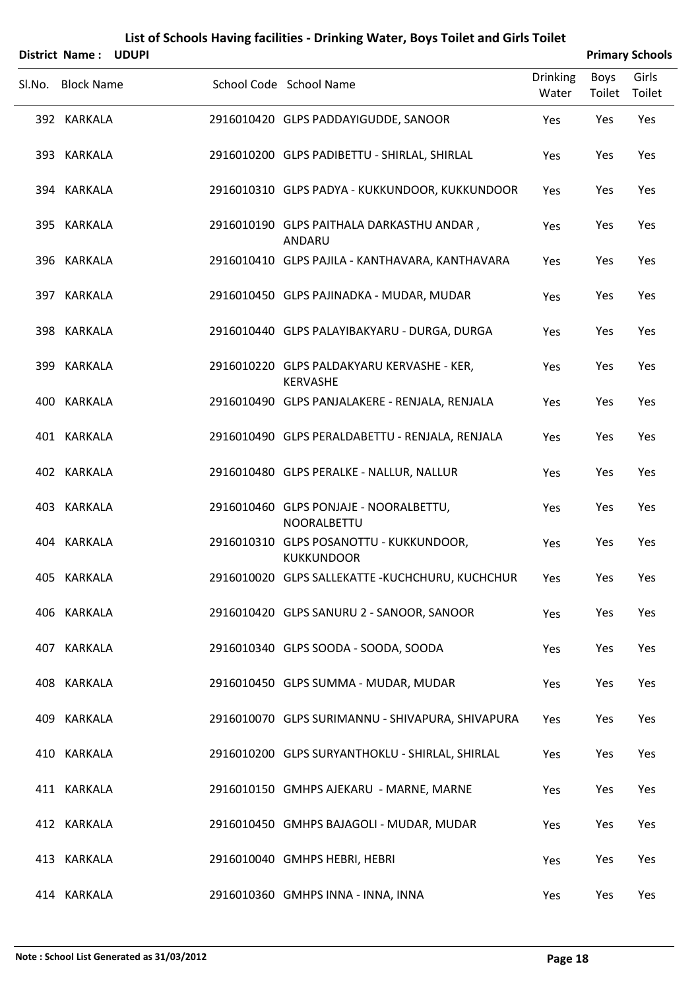|     | District Name: UDUPI |                                                               |                          |                | <b>Primary Schools</b> |
|-----|----------------------|---------------------------------------------------------------|--------------------------|----------------|------------------------|
|     | Sl.No. Block Name    | School Code School Name                                       | <b>Drinking</b><br>Water | Boys<br>Toilet | Girls<br>Toilet        |
|     | 392 KARKALA          | 2916010420 GLPS PADDAYIGUDDE, SANOOR                          | Yes                      | Yes            | Yes                    |
|     | 393 KARKALA          | 2916010200 GLPS PADIBETTU - SHIRLAL, SHIRLAL                  | Yes                      | Yes            | Yes                    |
|     | 394 KARKALA          | 2916010310 GLPS PADYA - KUKKUNDOOR, KUKKUNDOOR                | Yes                      | Yes            | Yes                    |
|     | 395 KARKALA          | 2916010190 GLPS PAITHALA DARKASTHU ANDAR,<br>ANDARU           | Yes                      | Yes            | Yes                    |
|     | 396 KARKALA          | 2916010410 GLPS PAJILA - KANTHAVARA, KANTHAVARA               | Yes                      | Yes            | Yes                    |
|     | 397 KARKALA          | 2916010450 GLPS PAJINADKA - MUDAR, MUDAR                      | Yes                      | Yes            | Yes                    |
|     | 398 KARKALA          | 2916010440 GLPS PALAYIBAKYARU - DURGA, DURGA                  | Yes                      | Yes            | Yes                    |
|     | 399 KARKALA          | 2916010220 GLPS PALDAKYARU KERVASHE - KER,<br><b>KERVASHE</b> | Yes                      | Yes            | Yes                    |
| 400 | KARKALA              | 2916010490 GLPS PANJALAKERE - RENJALA, RENJALA                | Yes                      | Yes            | Yes                    |
|     | 401 KARKALA          | 2916010490 GLPS PERALDABETTU - RENJALA, RENJALA               | Yes                      | Yes            | Yes                    |
|     | 402 KARKALA          | 2916010480 GLPS PERALKE - NALLUR, NALLUR                      | Yes                      | Yes            | Yes                    |
|     | 403 KARKALA          | 2916010460 GLPS PONJAJE - NOORALBETTU,<br>NOORALBETTU         | Yes                      | Yes            | Yes                    |
|     | 404 KARKALA          | 2916010310 GLPS POSANOTTU - KUKKUNDOOR,<br><b>KUKKUNDOOR</b>  | Yes                      | Yes            | Yes                    |
|     | 405 KARKALA          | 2916010020 GLPS SALLEKATTE - KUCHCHURU, KUCHCHUR              | Yes                      | Yes            | Yes                    |
|     | 406 KARKALA          | 2916010420 GLPS SANURU 2 - SANOOR, SANOOR                     | Yes                      | Yes            | Yes                    |
|     | 407 KARKALA          | 2916010340 GLPS SOODA - SOODA, SOODA                          | Yes                      | Yes            | Yes                    |
|     | 408 KARKALA          | 2916010450 GLPS SUMMA - MUDAR, MUDAR                          | Yes                      | Yes            | Yes                    |
|     | 409 KARKALA          | 2916010070 GLPS SURIMANNU - SHIVAPURA, SHIVAPURA              | Yes                      | Yes            | Yes                    |
|     | 410 KARKALA          | 2916010200 GLPS SURYANTHOKLU - SHIRLAL, SHIRLAL               | Yes                      | Yes            | Yes                    |
|     | 411 KARKALA          | 2916010150 GMHPS AJEKARU - MARNE, MARNE                       | Yes                      | Yes            | Yes                    |
|     | 412 KARKALA          | 2916010450 GMHPS BAJAGOLI - MUDAR, MUDAR                      | Yes                      | Yes            | Yes                    |
|     | 413 KARKALA          | 2916010040 GMHPS HEBRI, HEBRI                                 | Yes                      | Yes            | Yes                    |
|     | 414 KARKALA          | 2916010360 GMHPS INNA - INNA, INNA                            | Yes                      | Yes            | Yes                    |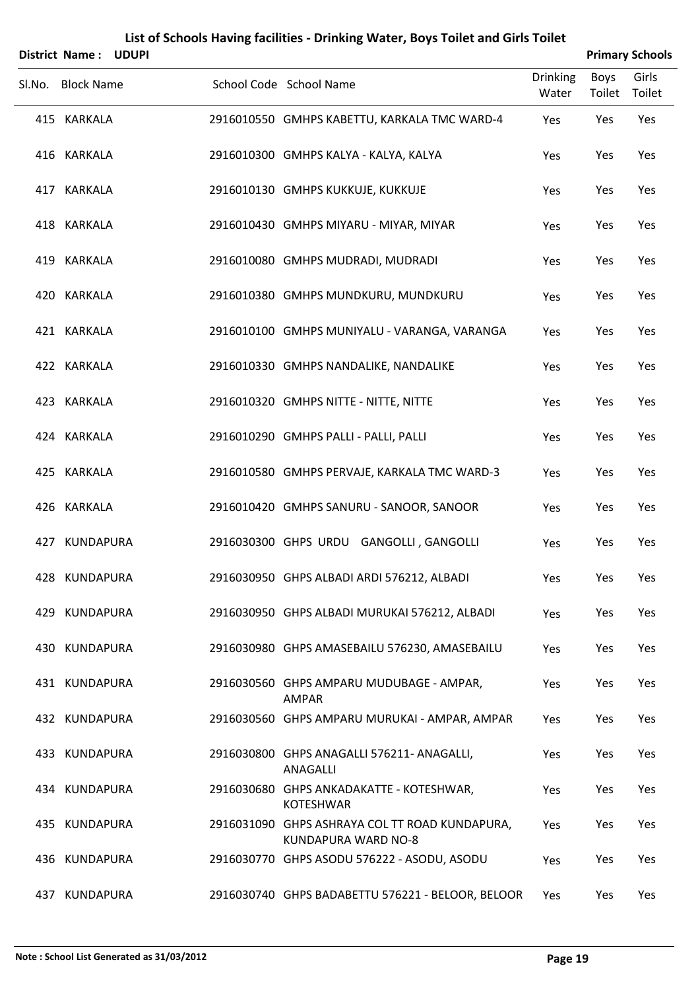| District Name: UDUPI |  |                                                                       |                          |                | <b>Primary Schools</b> |
|----------------------|--|-----------------------------------------------------------------------|--------------------------|----------------|------------------------|
| Sl.No. Block Name    |  | School Code School Name                                               | <b>Drinking</b><br>Water | Boys<br>Toilet | Girls<br>Toilet        |
| 415 KARKALA          |  | 2916010550 GMHPS KABETTU, KARKALA TMC WARD-4                          | Yes                      | Yes            | Yes                    |
| 416 KARKALA          |  | 2916010300 GMHPS KALYA - KALYA, KALYA                                 | Yes                      | Yes            | Yes                    |
| 417 KARKALA          |  | 2916010130 GMHPS KUKKUJE, KUKKUJE                                     | Yes                      | Yes            | Yes                    |
| 418 KARKALA          |  | 2916010430 GMHPS MIYARU - MIYAR, MIYAR                                | Yes                      | Yes            | Yes                    |
| 419 KARKALA          |  | 2916010080 GMHPS MUDRADI, MUDRADI                                     | Yes                      | Yes            | Yes                    |
| 420 KARKALA          |  | 2916010380 GMHPS MUNDKURU, MUNDKURU                                   | Yes                      | Yes            | Yes                    |
| 421 KARKALA          |  | 2916010100 GMHPS MUNIYALU - VARANGA, VARANGA                          | Yes                      | Yes            | Yes                    |
| 422 KARKALA          |  | 2916010330 GMHPS NANDALIKE, NANDALIKE                                 | Yes                      | Yes            | Yes                    |
| 423 KARKALA          |  | 2916010320 GMHPS NITTE - NITTE, NITTE                                 | Yes                      | Yes            | Yes                    |
| 424 KARKALA          |  | 2916010290 GMHPS PALLI - PALLI, PALLI                                 | Yes                      | Yes            | Yes                    |
| 425 KARKALA          |  | 2916010580 GMHPS PERVAJE, KARKALA TMC WARD-3                          | Yes                      | Yes            | Yes                    |
| 426 KARKALA          |  | 2916010420 GMHPS SANURU - SANOOR, SANOOR                              | Yes                      | Yes            | Yes                    |
| 427 KUNDAPURA        |  | 2916030300 GHPS URDU GANGOLLI, GANGOLLI                               | Yes                      | Yes            | Yes                    |
| 428 KUNDAPURA        |  | 2916030950 GHPS ALBADI ARDI 576212, ALBADI                            | Yes                      | Yes            | Yes                    |
| 429 KUNDAPURA        |  | 2916030950 GHPS ALBADI MURUKAI 576212, ALBADI                         | Yes                      | Yes            | Yes                    |
| 430 KUNDAPURA        |  | 2916030980 GHPS AMASEBAILU 576230, AMASEBAILU                         | Yes                      | Yes            | Yes                    |
| 431 KUNDAPURA        |  | 2916030560 GHPS AMPARU MUDUBAGE - AMPAR,<br><b>AMPAR</b>              | Yes                      | Yes            | Yes                    |
| 432 KUNDAPURA        |  | 2916030560 GHPS AMPARU MURUKAI - AMPAR, AMPAR                         | Yes                      | Yes            | Yes                    |
| 433 KUNDAPURA        |  | 2916030800 GHPS ANAGALLI 576211- ANAGALLI,<br>ANAGALLI                | Yes                      | Yes            | Yes                    |
| 434 KUNDAPURA        |  | 2916030680 GHPS ANKADAKATTE - KOTESHWAR,<br><b>KOTESHWAR</b>          | Yes                      | Yes            | Yes                    |
| 435 KUNDAPURA        |  | 2916031090 GHPS ASHRAYA COL TT ROAD KUNDAPURA,<br>KUNDAPURA WARD NO-8 | Yes                      | Yes            | Yes                    |
| 436 KUNDAPURA        |  | 2916030770 GHPS ASODU 576222 - ASODU, ASODU                           | Yes                      | Yes            | Yes                    |
| 437 KUNDAPURA        |  | 2916030740 GHPS BADABETTU 576221 - BELOOR, BELOOR                     | Yes                      | Yes            | Yes                    |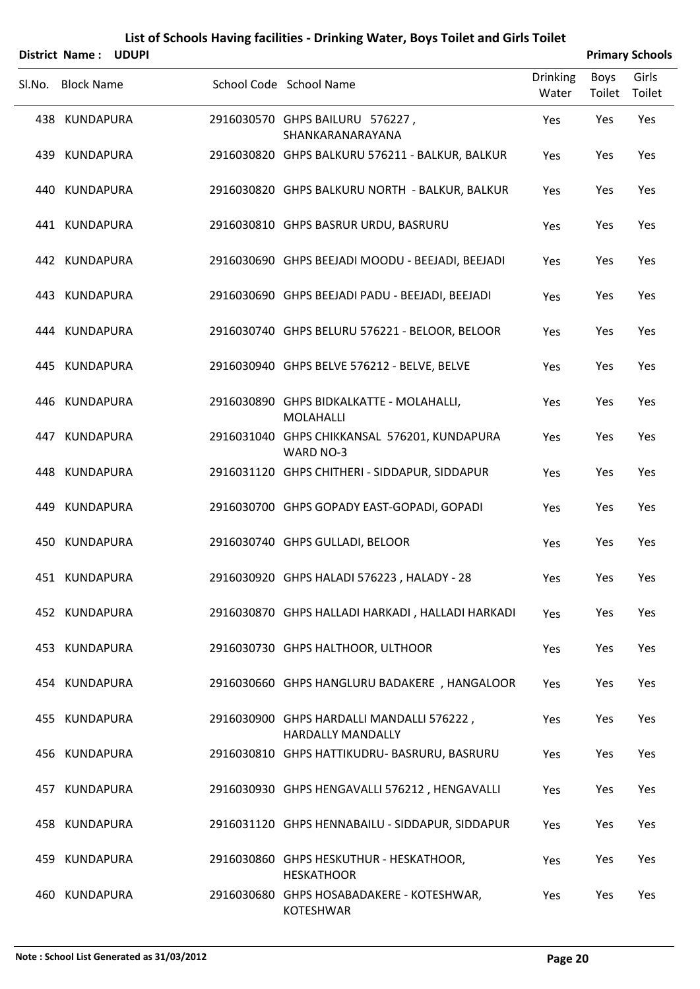|     | District Name: UDUPI |  |                                                                       |                          |                | <b>Primary Schools</b> |
|-----|----------------------|--|-----------------------------------------------------------------------|--------------------------|----------------|------------------------|
|     | Sl.No. Block Name    |  | School Code School Name                                               | <b>Drinking</b><br>Water | Boys<br>Toilet | Girls<br>Toilet        |
|     | 438 KUNDAPURA        |  | 2916030570 GHPS BAILURU 576227,<br>SHANKARANARAYANA                   | Yes                      | Yes            | Yes                    |
|     | 439 KUNDAPURA        |  | 2916030820 GHPS BALKURU 576211 - BALKUR, BALKUR                       | Yes                      | Yes            | Yes                    |
|     | 440 KUNDAPURA        |  | 2916030820 GHPS BALKURU NORTH - BALKUR, BALKUR                        | Yes                      | Yes            | Yes                    |
|     | 441 KUNDAPURA        |  | 2916030810 GHPS BASRUR URDU, BASRURU                                  | Yes                      | Yes            | Yes                    |
|     | 442 KUNDAPURA        |  | 2916030690 GHPS BEEJADI MOODU - BEEJADI, BEEJADI                      | Yes                      | Yes            | Yes                    |
|     | 443 KUNDAPURA        |  | 2916030690 GHPS BEEJADI PADU - BEEJADI, BEEJADI                       | Yes                      | Yes            | Yes                    |
|     | 444 KUNDAPURA        |  | 2916030740 GHPS BELURU 576221 - BELOOR, BELOOR                        | Yes                      | Yes            | Yes                    |
|     | 445 KUNDAPURA        |  | 2916030940 GHPS BELVE 576212 - BELVE, BELVE                           | Yes                      | Yes            | Yes                    |
|     | 446 KUNDAPURA        |  | 2916030890 GHPS BIDKALKATTE - MOLAHALLI,<br>MOLAHALLI                 | Yes                      | Yes            | Yes                    |
|     | 447 KUNDAPURA        |  | 2916031040 GHPS CHIKKANSAL 576201, KUNDAPURA<br>WARD NO-3             | Yes                      | Yes            | Yes                    |
|     | 448 KUNDAPURA        |  | 2916031120 GHPS CHITHERI - SIDDAPUR, SIDDAPUR                         | Yes                      | Yes            | Yes                    |
|     | 449 KUNDAPURA        |  | 2916030700 GHPS GOPADY EAST-GOPADI, GOPADI                            | Yes                      | Yes            | Yes                    |
|     | 450 KUNDAPURA        |  | 2916030740 GHPS GULLADI, BELOOR                                       | Yes                      | Yes            | Yes                    |
|     | 451 KUNDAPURA        |  | 2916030920 GHPS HALADI 576223, HALADY - 28                            | Yes                      | Yes            | Yes                    |
|     | 452 KUNDAPURA        |  | 2916030870 GHPS HALLADI HARKADI, HALLADI HARKADI                      | Yes                      | Yes            | Yes                    |
|     | 453 KUNDAPURA        |  | 2916030730 GHPS HALTHOOR, ULTHOOR                                     | Yes                      | Yes            | Yes                    |
|     | 454 KUNDAPURA        |  | 2916030660 GHPS HANGLURU BADAKERE, HANGALOOR                          | Yes                      | Yes            | Yes                    |
|     | 455 KUNDAPURA        |  | 2916030900 GHPS HARDALLI MANDALLI 576222,<br><b>HARDALLY MANDALLY</b> | Yes                      | Yes            | Yes                    |
|     | 456 KUNDAPURA        |  | 2916030810 GHPS HATTIKUDRU- BASRURU, BASRURU                          | Yes                      | Yes            | Yes                    |
| 457 | KUNDAPURA            |  | 2916030930 GHPS HENGAVALLI 576212, HENGAVALLI                         | Yes                      | Yes            | Yes                    |
|     | 458 KUNDAPURA        |  | 2916031120 GHPS HENNABAILU - SIDDAPUR, SIDDAPUR                       | Yes                      | Yes            | Yes                    |
|     | 459 KUNDAPURA        |  | 2916030860 GHPS HESKUTHUR - HESKATHOOR,<br><b>HESKATHOOR</b>          | Yes                      | Yes            | Yes                    |
|     | 460 KUNDAPURA        |  | 2916030680 GHPS HOSABADAKERE - KOTESHWAR,<br>KOTESHWAR                | Yes                      | Yes            | Yes                    |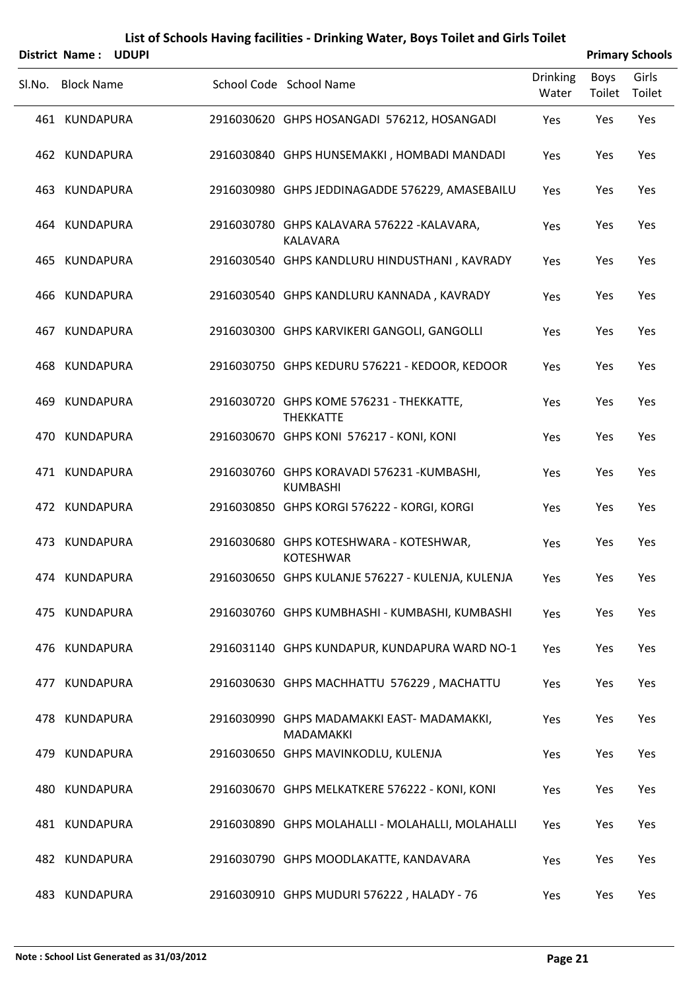|        | District Name: UDUPI |  |                                                                |                          |                | <b>Primary Schools</b> |
|--------|----------------------|--|----------------------------------------------------------------|--------------------------|----------------|------------------------|
| Sl.No. | <b>Block Name</b>    |  | School Code School Name                                        | <b>Drinking</b><br>Water | Boys<br>Toilet | Girls<br>Toilet        |
|        | 461 KUNDAPURA        |  | 2916030620 GHPS HOSANGADI 576212, HOSANGADI                    | Yes                      | Yes            | Yes                    |
|        | 462 KUNDAPURA        |  | 2916030840 GHPS HUNSEMAKKI, HOMBADI MANDADI                    | Yes                      | Yes            | Yes                    |
|        | 463 KUNDAPURA        |  | 2916030980 GHPS JEDDINAGADDE 576229, AMASEBAILU                | Yes                      | Yes            | Yes                    |
|        | 464 KUNDAPURA        |  | 2916030780 GHPS KALAVARA 576222 - KALAVARA,<br>KALAVARA        | Yes                      | Yes            | Yes                    |
|        | 465 KUNDAPURA        |  | 2916030540 GHPS KANDLURU HINDUSTHANI, KAVRADY                  | Yes                      | Yes            | Yes                    |
|        | 466 KUNDAPURA        |  | 2916030540 GHPS KANDLURU KANNADA, KAVRADY                      | Yes                      | Yes            | Yes                    |
|        | 467 KUNDAPURA        |  | 2916030300 GHPS KARVIKERI GANGOLI, GANGOLLI                    | Yes                      | Yes            | Yes                    |
|        | 468 KUNDAPURA        |  | 2916030750 GHPS KEDURU 576221 - KEDOOR, KEDOOR                 | Yes                      | Yes            | Yes                    |
|        | 469 KUNDAPURA        |  | 2916030720 GHPS KOME 576231 - THEKKATTE,<br><b>THEKKATTE</b>   | Yes                      | Yes            | Yes                    |
|        | 470 KUNDAPURA        |  | 2916030670 GHPS KONI 576217 - KONI, KONI                       | Yes                      | Yes            | Yes                    |
|        | 471 KUNDAPURA        |  | 2916030760 GHPS KORAVADI 576231 - KUMBASHI,<br><b>KUMBASHI</b> | Yes                      | Yes            | Yes                    |
|        | 472 KUNDAPURA        |  | 2916030850 GHPS KORGI 576222 - KORGI, KORGI                    | Yes                      | Yes            | Yes                    |
|        | 473 KUNDAPURA        |  | 2916030680 GHPS KOTESHWARA - KOTESHWAR,<br><b>KOTESHWAR</b>    | Yes                      | Yes            | Yes                    |
|        | 474 KUNDAPURA        |  | 2916030650 GHPS KULANJE 576227 - KULENJA, KULENJA              | Yes                      | Yes            | Yes                    |
|        | 475 KUNDAPURA        |  | 2916030760 GHPS KUMBHASHI - KUMBASHI, KUMBASHI                 | Yes                      | Yes            | Yes                    |
|        | 476 KUNDAPURA        |  | 2916031140 GHPS KUNDAPUR, KUNDAPURA WARD NO-1                  | Yes                      | Yes            | Yes                    |
|        | 477 KUNDAPURA        |  | 2916030630 GHPS MACHHATTU 576229, MACHATTU                     | Yes                      | Yes            | Yes                    |
|        | 478 KUNDAPURA        |  | 2916030990 GHPS MADAMAKKI EAST-MADAMAKKI,<br>MADAMAKKI         | Yes                      | Yes            | Yes                    |
|        | 479 KUNDAPURA        |  | 2916030650 GHPS MAVINKODLU, KULENJA                            | Yes                      | Yes            | Yes                    |
|        | 480 KUNDAPURA        |  | 2916030670 GHPS MELKATKERE 576222 - KONI, KONI                 | Yes                      | Yes            | Yes                    |
|        | 481 KUNDAPURA        |  | 2916030890 GHPS MOLAHALLI - MOLAHALLI, MOLAHALLI               | Yes                      | Yes            | Yes                    |
|        | 482 KUNDAPURA        |  | 2916030790 GHPS MOODLAKATTE, KANDAVARA                         | Yes                      | Yes            | Yes                    |
|        | 483 KUNDAPURA        |  | 2916030910 GHPS MUDURI 576222, HALADY - 76                     | Yes                      | Yes            | Yes                    |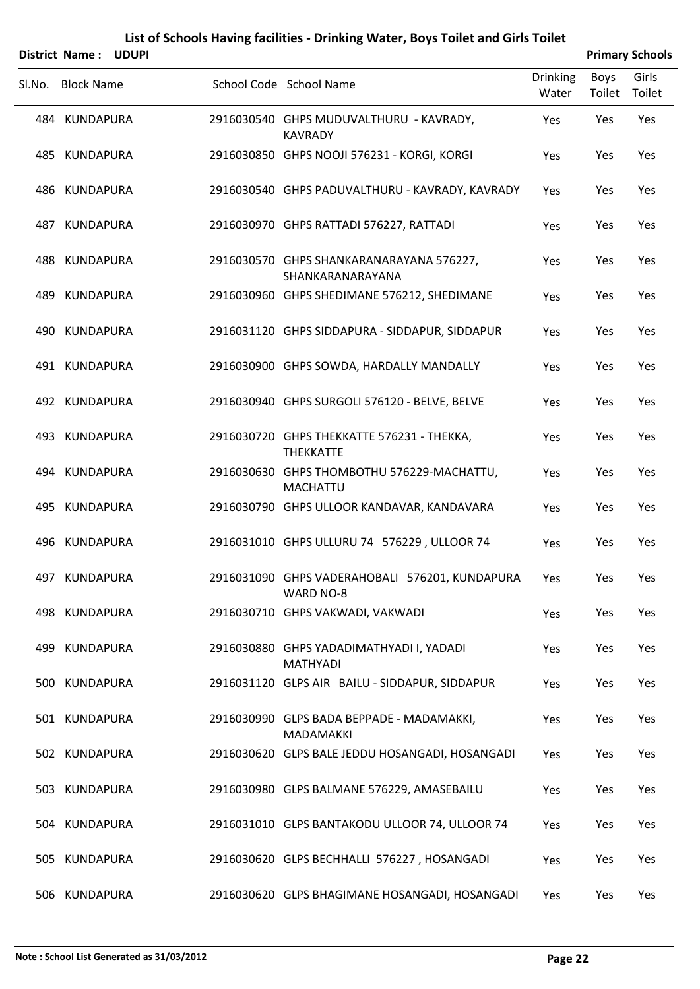| District Name: UDUPI |                                                                |                          |                | <b>Primary Schools</b> |
|----------------------|----------------------------------------------------------------|--------------------------|----------------|------------------------|
| Sl.No. Block Name    | School Code School Name                                        | <b>Drinking</b><br>Water | Boys<br>Toilet | Girls<br>Toilet        |
| 484 KUNDAPURA        | 2916030540 GHPS MUDUVALTHURU - KAVRADY,<br><b>KAVRADY</b>      | Yes                      | Yes            | Yes                    |
| 485 KUNDAPURA        | 2916030850 GHPS NOOJI 576231 - KORGI, KORGI                    | Yes                      | Yes            | Yes                    |
| 486 KUNDAPURA        | 2916030540 GHPS PADUVALTHURU - KAVRADY, KAVRADY                | Yes                      | Yes            | Yes                    |
| 487 KUNDAPURA        | 2916030970 GHPS RATTADI 576227, RATTADI                        | Yes                      | Yes            | Yes                    |
| 488 KUNDAPURA        | 2916030570 GHPS SHANKARANARAYANA 576227,<br>SHANKARANARAYANA   | Yes                      | Yes            | Yes                    |
| 489 KUNDAPURA        | 2916030960 GHPS SHEDIMANE 576212, SHEDIMANE                    | Yes                      | Yes            | Yes                    |
| 490 KUNDAPURA        | 2916031120 GHPS SIDDAPURA - SIDDAPUR, SIDDAPUR                 | Yes                      | Yes            | Yes                    |
| 491 KUNDAPURA        | 2916030900 GHPS SOWDA, HARDALLY MANDALLY                       | Yes                      | Yes            | Yes                    |
| 492 KUNDAPURA        | 2916030940 GHPS SURGOLI 576120 - BELVE, BELVE                  | Yes                      | Yes            | Yes                    |
| 493 KUNDAPURA        | 2916030720 GHPS THEKKATTE 576231 - THEKKA,<br><b>THEKKATTE</b> | Yes                      | Yes            | Yes                    |

|     | 495 KUNDAPURA    | 2916030790 GHPS ULLOOR KANDAVAR, KANDAVARA                    | Yes        | Yes | Yes        |
|-----|------------------|---------------------------------------------------------------|------------|-----|------------|
|     | 496 KUNDAPURA    | 2916031010 GHPS ULLURU 74 576229, ULLOOR 74                   | <b>Yes</b> | Yes | <b>Yes</b> |
| 497 | <b>KUNDAPURA</b> | 2916031090 GHPS VADERAHOBALI 576201, KUNDAPURA<br>WARD NO-8   | Yes        | Yes | Yes        |
|     | 498 KUNDAPURA    | 2916030710 GHPS VAKWADI, VAKWADI                              | <b>Yes</b> | Yes | Yes        |
| 499 | <b>KUNDAPURA</b> | 2916030880 GHPS YADADIMATHYADI I, YADADI<br><b>MATHYADI</b>   | Yes        | Yes | Yes        |
| 500 | KUNDAPURA        | 2916031120 GLPS AIR BAILU - SIDDAPUR, SIDDAPUR                | <b>Yes</b> | Yes | Yes        |
| 501 | <b>KUNDAPURA</b> | 2916030990 GLPS BADA BEPPADE - MADAMAKKI,<br><b>MADAMAKKI</b> | <b>Yes</b> | Yes | <b>Yes</b> |
|     | 502 KUNDAPURA    | 2916030620 GLPS BALE JEDDU HOSANGADI, HOSANGADI               | <b>Yes</b> | Yes | <b>Yes</b> |
| 503 | <b>KUNDAPURA</b> | 2916030980 GLPS BALMANE 576229, AMASEBAILU                    | <b>Yes</b> | Yes | Yes        |
| 504 | <b>KUNDAPURA</b> | 2916031010 GLPS BANTAKODU ULLOOR 74, ULLOOR 74                | <b>Yes</b> | Yes | <b>Yes</b> |
| 505 | <b>KUNDAPURA</b> | 2916030620 GLPS BECHHALLI 576227, HOSANGADI                   | <b>Yes</b> | Yes | Yes        |

506 KUNDAPURA 2916030620 GLPS BHAGIMANE HOSANGADI, HOSANGADI Yes Yes Yes

KUNDAPURA 2916030630 GHPS THOMBOTHU 576229‐MACHATTU, 494 Yes Yes Yes

MACHATTU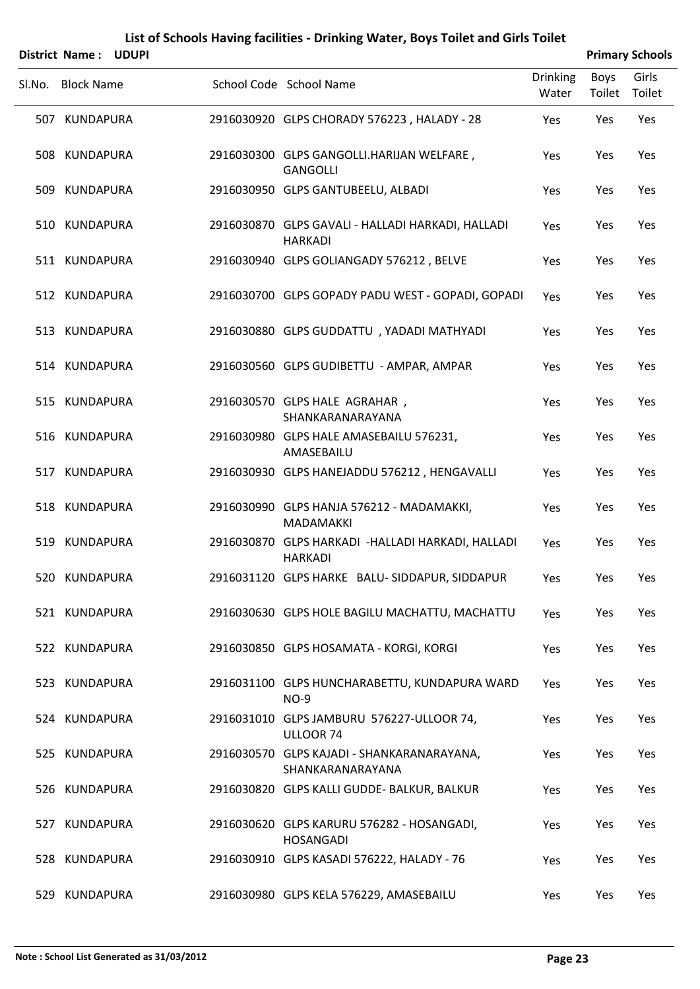|        |                   |              | List of Schools Having facilities - Drinking Water, Boys Toilet and Girls Toilet |                          |                       |                        |
|--------|-------------------|--------------|----------------------------------------------------------------------------------|--------------------------|-----------------------|------------------------|
|        | District Name:    | <b>UDUPI</b> |                                                                                  |                          |                       | <b>Primary Schools</b> |
| Sl.No. | <b>Block Name</b> |              | School Code School Name                                                          | <b>Drinking</b><br>Water | <b>Boys</b><br>Toilet | Girls<br>Toilet        |
|        | 507 KUNDAPURA     |              | 2916030920 GLPS CHORADY 576223, HALADY - 28                                      | Yes                      | Yes                   | Yes                    |
|        | 508 KUNDAPURA     |              | 2916030300 GLPS GANGOLLI.HARIJAN WELFARE,<br><b>GANGOLLI</b>                     | Yes                      | Yes                   | Yes                    |
|        | 509 KUNDAPURA     |              | 2916030950 GLPS GANTUBEELU, ALBADI                                               | Yes                      | Yes                   | Yes                    |
|        | 510 KUNDAPURA     |              | 2916030870 GLPS GAVALI - HALLADI HARKADI, HALLADI<br><b>HARKADI</b>              | Yes                      | Yes                   | Yes                    |
|        | 511 KUNDAPURA     |              | 2916030940 GLPS GOLIANGADY 576212, BELVE                                         | Yes                      | Yes                   | Yes                    |
|        | 512 KUNDAPURA     |              | 2916030700 GLPS GOPADY PADU WEST - GOPADI, GOPADI                                | Yes                      | Yes                   | Yes                    |
|        | 513 KUNDAPURA     |              | 2916030880 GLPS GUDDATTU , YADADI MATHYADI                                       | Yes                      | Yes                   | Yes                    |
|        | 514 KUNDAPURA     |              | 2916030560 GLPS GUDIBETTU - AMPAR, AMPAR                                         | Yes                      | Yes                   | Yes                    |
|        | 515 KUNDAPURA     |              | 2916030570 GLPS HALE AGRAHAR,<br>SHANKARANARAYANA                                | Yes                      | Yes                   | Yes                    |
|        | 516 KUNDAPURA     |              | 2916030980 GLPS HALE AMASEBAILU 576231,<br>AMASEBAILU                            | Yes                      | Yes                   | Yes                    |
|        | 517 KUNDAPURA     |              | 2916030930 GLPS HANEJADDU 576212, HENGAVALLI                                     | Yes                      | Yes                   | Yes                    |
|        | 518 KUNDAPURA     |              | 2916030990 GLPS HANJA 576212 - MADAMAKKI,<br>MADAMAKKI                           | Yes                      | Yes                   | Yes                    |
|        | 519 KUNDAPURA     |              | 2916030870 GLPS HARKADI - HALLADI HARKADI, HALLADI<br>HARKADI                    | Yes                      | Yes                   | Yes                    |
|        | 520 KUNDAPURA     |              | 2916031120 GLPS HARKE BALU-SIDDAPUR, SIDDAPUR                                    | Yes                      | Yes                   | Yes                    |
|        | 521 KUNDAPURA     |              | 2916030630 GLPS HOLE BAGILU MACHATTU, MACHATTU                                   | Yes                      | Yes                   | Yes                    |
|        | 522 KUNDAPURA     |              | 2916030850 GLPS HOSAMATA - KORGI, KORGI                                          | Yes                      | Yes                   | Yes                    |
|        | 523 KUNDAPURA     |              | 2916031100 GLPS HUNCHARABETTU, KUNDAPURA WARD<br><b>NO-9</b>                     | Yes                      | Yes                   | Yes                    |
|        | 524 KUNDAPURA     |              | 2916031010 GLPS JAMBURU 576227-ULLOOR 74,<br>ULLOOR 74                           | Yes                      | Yes                   | Yes                    |
|        | 525 KUNDAPURA     |              | 2916030570 GLPS KAJADI - SHANKARANARAYANA,<br>SHANKARANARAYANA                   | Yes                      | Yes                   | Yes                    |
|        | 526 KUNDAPURA     |              | 2916030820 GLPS KALLI GUDDE- BALKUR, BALKUR                                      | Yes                      | Yes                   | Yes                    |
|        | 527 KUNDAPURA     |              | 2916030620 GLPS KARURU 576282 - HOSANGADI,<br><b>HOSANGADI</b>                   | Yes                      | Yes                   | Yes                    |
|        | 528 KUNDAPURA     |              | 2916030910 GLPS KASADI 576222, HALADY - 76                                       | Yes                      | Yes                   | Yes                    |
|        |                   |              |                                                                                  |                          |                       |                        |

529 KUNDAPURA 2916030980 GLPS KELA 576229, AMASEBAILU Yes Yes Yes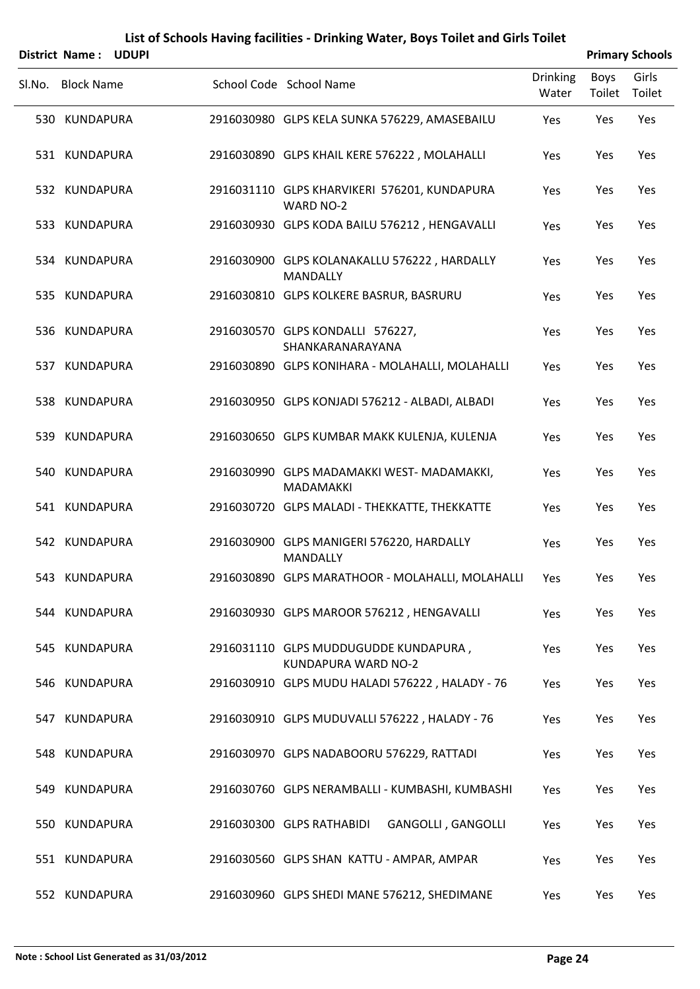| District Name: UDUPI |                                                                 |                          |                | <b>Primary Schools</b> |
|----------------------|-----------------------------------------------------------------|--------------------------|----------------|------------------------|
| SI.No. Block Name    | School Code School Name                                         | <b>Drinking</b><br>Water | Boys<br>Toilet | Girls<br>Toilet        |
| 530 KUNDAPURA        | 2916030980 GLPS KELA SUNKA 576229, AMASEBAILU                   | Yes                      | Yes            | Yes                    |
| 531 KUNDAPURA        | 2916030890 GLPS KHAIL KERE 576222, MOLAHALLI                    | Yes                      | Yes            | Yes                    |
| 532 KUNDAPURA        | 2916031110 GLPS KHARVIKERI 576201, KUNDAPURA<br>WARD NO-2       | Yes                      | Yes            | Yes                    |
| 533 KUNDAPURA        | 2916030930 GLPS KODA BAILU 576212, HENGAVALLI                   | Yes                      | Yes            | Yes                    |
| 534 KUNDAPURA        | 2916030900 GLPS KOLANAKALLU 576222, HARDALLY<br><b>MANDALLY</b> | Yes                      | Yes            | Yes                    |
| 535 KUNDAPURA        | 2916030810 GLPS KOLKERE BASRUR, BASRURU                         | Yes                      | Yes            | Yes                    |
| 536 KUNDAPURA        | 2916030570 GLPS KONDALLI 576227,<br>SHANKARANARAYANA            | Yes                      | Yes            | Yes                    |
| 537 KUNDAPURA        | 2916030890 GLPS KONIHARA - MOLAHALLI, MOLAHALLI                 | Yes                      | Yes            | Yes                    |
| 538 KUNDAPURA        | 2916030950 GLPS KONJADI 576212 - ALBADI, ALBADI                 | Yes                      | Yes            | Yes                    |
| 539 KUNDAPURA        | 2916030650 GLPS KUMBAR MAKK KULENJA, KULENJA                    | Yes                      | Yes            | Yes                    |
| 540 KUNDAPURA        | 2916030990 GLPS MADAMAKKI WEST-MADAMAKKI,<br><b>MADAMAKKI</b>   | Yes                      | Yes            | Yes                    |
| 541 KUNDAPURA        | 2916030720 GLPS MALADI - THEKKATTE, THEKKATTE                   | Yes                      | Yes            | Yes                    |
| 542 KUNDAPURA        | 2916030900 GLPS MANIGERI 576220, HARDALLY<br><b>MANDALLY</b>    | Yes                      | Yes            | Yes                    |
| 543 KUNDAPURA        | 2916030890 GLPS MARATHOOR - MOLAHALLI, MOLAHALLI Yes            |                          | Yes            | Yes                    |
| 544 KUNDAPURA        | 2916030930 GLPS MAROOR 576212, HENGAVALLI                       | Yes                      | Yes            | Yes                    |
| 545 KUNDAPURA        | 2916031110 GLPS MUDDUGUDDE KUNDAPURA,<br>KUNDAPURA WARD NO-2    | Yes                      | Yes            | Yes                    |
| 546 KUNDAPURA        | 2916030910 GLPS MUDU HALADI 576222, HALADY - 76                 | Yes                      | Yes            | Yes                    |
| 547 KUNDAPURA        | 2916030910 GLPS MUDUVALLI 576222, HALADY - 76                   | Yes                      | Yes            | Yes                    |
| 548 KUNDAPURA        | 2916030970 GLPS NADABOORU 576229, RATTADI                       | Yes                      | Yes            | Yes                    |
| 549 KUNDAPURA        | 2916030760 GLPS NERAMBALLI - KUMBASHI, KUMBASHI                 | Yes                      | Yes            | Yes                    |
| 550 KUNDAPURA        | 2916030300 GLPS RATHABIDI<br><b>GANGOLLI, GANGOLLI</b>          | Yes                      | Yes            | Yes                    |
| 551 KUNDAPURA        | 2916030560 GLPS SHAN KATTU - AMPAR, AMPAR                       | Yes                      | Yes            | Yes                    |
| 552 KUNDAPURA        | 2916030960 GLPS SHEDI MANE 576212, SHEDIMANE                    | Yes                      | Yes            | Yes                    |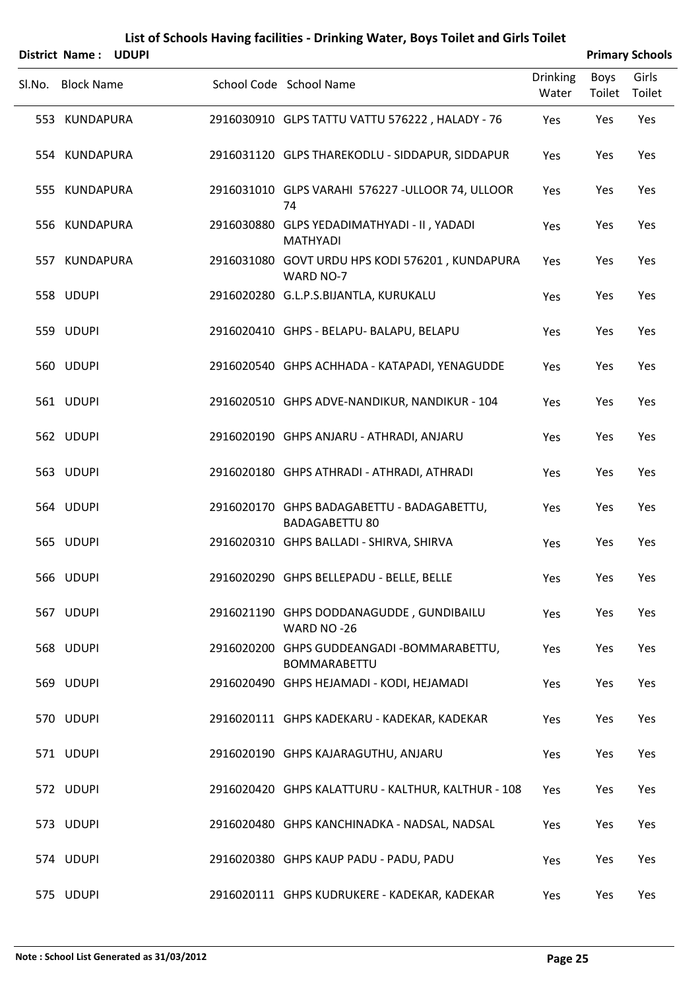|        | District Name: UDUPI |  |                                                                     |                          |                | <b>Primary Schools</b> |
|--------|----------------------|--|---------------------------------------------------------------------|--------------------------|----------------|------------------------|
| Sl.No. | <b>Block Name</b>    |  | School Code School Name                                             | <b>Drinking</b><br>Water | Boys<br>Toilet | Girls<br>Toilet        |
|        | 553 KUNDAPURA        |  | 2916030910 GLPS TATTU VATTU 576222, HALADY - 76                     | Yes                      | Yes            | Yes                    |
|        | 554 KUNDAPURA        |  | 2916031120 GLPS THAREKODLU - SIDDAPUR, SIDDAPUR                     | Yes                      | Yes            | Yes                    |
|        | 555 KUNDAPURA        |  | 2916031010 GLPS VARAHI 576227 - ULLOOR 74, ULLOOR<br>74             | Yes                      | Yes            | Yes                    |
|        | 556 KUNDAPURA        |  | 2916030880 GLPS YEDADIMATHYADI - II, YADADI<br><b>MATHYADI</b>      | Yes                      | Yes            | Yes                    |
|        | 557 KUNDAPURA        |  | 2916031080 GOVT URDU HPS KODI 576201, KUNDAPURA<br>WARD NO-7        | Yes                      | Yes            | Yes                    |
|        | 558 UDUPI            |  | 2916020280 G.L.P.S.BIJANTLA, KURUKALU                               | Yes                      | Yes            | Yes                    |
|        | 559 UDUPI            |  | 2916020410 GHPS - BELAPU- BALAPU, BELAPU                            | Yes                      | Yes            | Yes                    |
|        | 560 UDUPI            |  | 2916020540 GHPS ACHHADA - KATAPADI, YENAGUDDE                       | Yes                      | Yes            | Yes                    |
|        | 561 UDUPI            |  | 2916020510 GHPS ADVE-NANDIKUR, NANDIKUR - 104                       | Yes                      | Yes            | Yes                    |
|        | 562 UDUPI            |  | 2916020190 GHPS ANJARU - ATHRADI, ANJARU                            | Yes                      | Yes            | Yes                    |
|        | 563 UDUPI            |  | 2916020180 GHPS ATHRADI - ATHRADI, ATHRADI                          | Yes                      | Yes            | Yes                    |
|        | 564 UDUPI            |  | 2916020170 GHPS BADAGABETTU - BADAGABETTU,<br><b>BADAGABETTU 80</b> | Yes                      | Yes            | Yes                    |
|        | 565 UDUPI            |  | 2916020310 GHPS BALLADI - SHIRVA, SHIRVA                            | Yes                      | Yes            | Yes                    |
|        | 566 UDUPI            |  | 2916020290 GHPS BELLEPADU - BELLE, BELLE                            | Yes                      | Yes            | Yes                    |
|        | 567 UDUPI            |  | 2916021190 GHPS DODDANAGUDDE, GUNDIBAILU<br>WARD NO-26              | Yes                      | Yes            | Yes                    |
|        | 568 UDUPI            |  | 2916020200 GHPS GUDDEANGADI - BOMMARABETTU,<br><b>BOMMARABETTU</b>  | Yes                      | Yes            | Yes                    |
|        | 569 UDUPI            |  | 2916020490 GHPS HEJAMADI - KODI, HEJAMADI                           | Yes                      | Yes            | Yes                    |
|        | 570 UDUPI            |  | 2916020111 GHPS KADEKARU - KADEKAR, KADEKAR                         | Yes                      | Yes            | Yes                    |
|        | 571 UDUPI            |  | 2916020190 GHPS KAJARAGUTHU, ANJARU                                 | Yes                      | Yes            | Yes                    |
|        | 572 UDUPI            |  | 2916020420 GHPS KALATTURU - KALTHUR, KALTHUR - 108                  | Yes                      | Yes            | Yes                    |
|        | 573 UDUPI            |  | 2916020480 GHPS KANCHINADKA - NADSAL, NADSAL                        | Yes                      | Yes            | Yes                    |
|        | 574 UDUPI            |  | 2916020380 GHPS KAUP PADU - PADU, PADU                              | Yes                      | Yes            | Yes                    |
|        | 575 UDUPI            |  | 2916020111 GHPS KUDRUKERE - KADEKAR, KADEKAR                        | Yes                      | Yes            | Yes                    |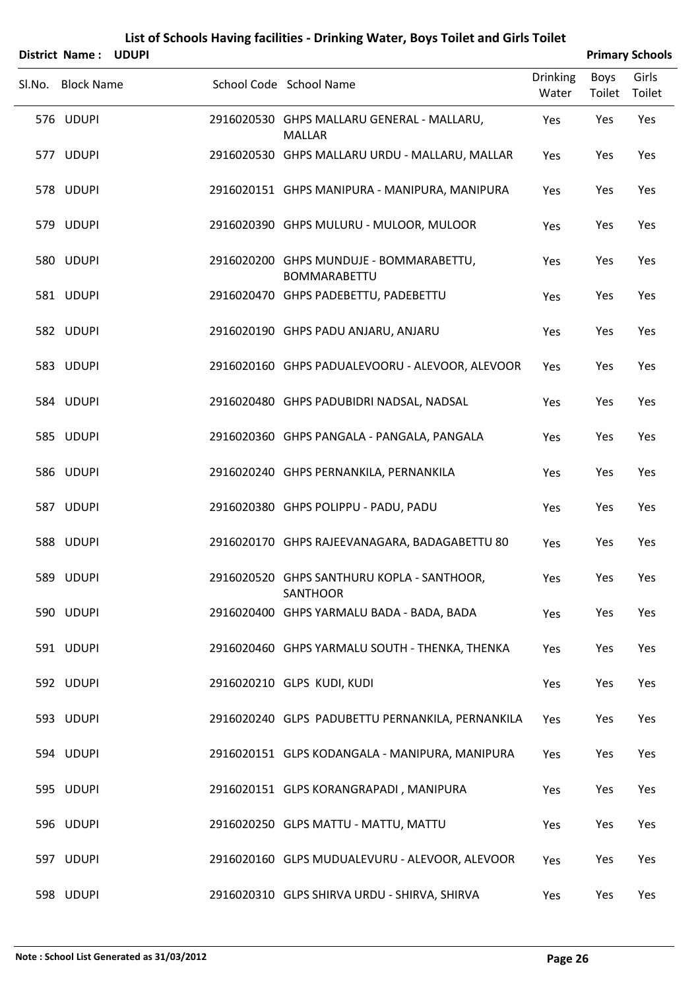| District Name: UDUPI |  |                                                                |                          | <b>Primary Schools</b> |                 |
|----------------------|--|----------------------------------------------------------------|--------------------------|------------------------|-----------------|
| Sl.No. Block Name    |  | School Code School Name                                        | <b>Drinking</b><br>Water | Boys<br>Toilet         | Girls<br>Toilet |
| 576 UDUPI            |  | 2916020530 GHPS MALLARU GENERAL - MALLARU,<br><b>MALLAR</b>    | Yes                      | Yes                    | Yes             |
| 577 UDUPI            |  | 2916020530 GHPS MALLARU URDU - MALLARU, MALLAR                 | Yes                      | Yes                    | Yes             |
| 578 UDUPI            |  | 2916020151 GHPS MANIPURA - MANIPURA, MANIPURA                  | Yes                      | Yes                    | Yes             |
| 579 UDUPI            |  | 2916020390 GHPS MULURU - MULOOR, MULOOR                        | Yes                      | Yes                    | Yes             |
| 580 UDUPI            |  | 2916020200 GHPS MUNDUJE - BOMMARABETTU,<br><b>BOMMARABETTU</b> | Yes                      | Yes                    | Yes             |
| 581 UDUPI            |  | 2916020470 GHPS PADEBETTU, PADEBETTU                           | Yes                      | Yes                    | Yes             |
| 582 UDUPI            |  | 2916020190 GHPS PADU ANJARU, ANJARU                            | Yes                      | Yes                    | Yes             |
| 583 UDUPI            |  | 2916020160 GHPS PADUALEVOORU - ALEVOOR, ALEVOOR                | Yes                      | Yes                    | Yes             |
| 584 UDUPI            |  | 2916020480 GHPS PADUBIDRI NADSAL, NADSAL                       | Yes                      | Yes                    | Yes             |
| 585 UDUPI            |  | 2916020360 GHPS PANGALA - PANGALA, PANGALA                     | Yes                      | Yes                    | Yes             |
| 586 UDUPI            |  | 2916020240 GHPS PERNANKILA, PERNANKILA                         | Yes                      | Yes                    | Yes             |
| 587 UDUPI            |  | 2916020380 GHPS POLIPPU - PADU, PADU                           | Yes                      | Yes                    | Yes             |
| 588 UDUPI            |  | 2916020170 GHPS RAJEEVANAGARA, BADAGABETTU 80                  | Yes                      | Yes                    | Yes             |
| 589 UDUPI            |  | 2916020520 GHPS SANTHURU KOPLA - SANTHOOR,<br><b>SANTHOOR</b>  | Yes                      | Yes                    | Yes             |
| 590 UDUPI            |  | 2916020400 GHPS YARMALU BADA - BADA, BADA                      | Yes                      | Yes                    | Yes             |
| 591 UDUPI            |  | 2916020460 GHPS YARMALU SOUTH - THENKA, THENKA                 | Yes                      | Yes                    | Yes             |
| 592 UDUPI            |  | 2916020210 GLPS KUDI, KUDI                                     | Yes                      | Yes                    | Yes             |
| 593 UDUPI            |  | 2916020240 GLPS PADUBETTU PERNANKILA, PERNANKILA               | Yes                      | Yes                    | Yes             |
| 594 UDUPI            |  | 2916020151 GLPS KODANGALA - MANIPURA, MANIPURA                 | Yes                      | Yes                    | Yes             |
| 595 UDUPI            |  | 2916020151 GLPS KORANGRAPADI, MANIPURA                         | Yes                      | Yes                    | Yes             |
| 596 UDUPI            |  | 2916020250 GLPS MATTU - MATTU, MATTU                           | Yes                      | Yes                    | Yes             |
| 597 UDUPI            |  | 2916020160 GLPS MUDUALEVURU - ALEVOOR, ALEVOOR                 | Yes                      | Yes                    | Yes             |
| 598 UDUPI            |  | 2916020310 GLPS SHIRVA URDU - SHIRVA, SHIRVA                   | Yes                      | Yes                    | Yes             |